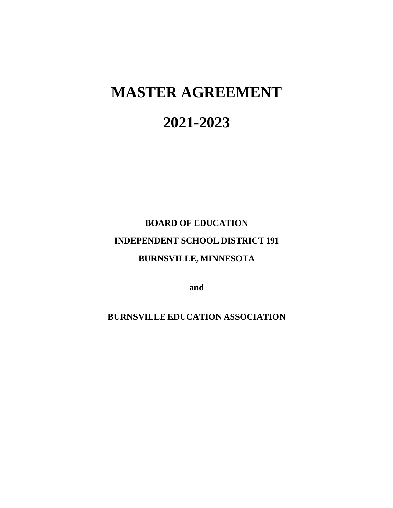# **MASTER AGREEMENT**

# **2021-2023**

# **BOARD OF EDUCATION INDEPENDENT SCHOOL DISTRICT 191 BURNSVILLE, MINNESOTA**

**and**

**BURNSVILLE EDUCATION ASSOCIATION**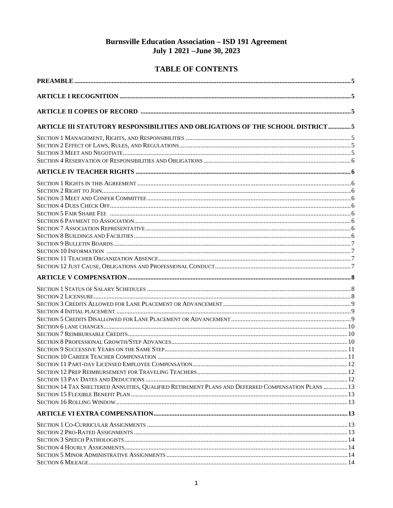## **Burnsville Education Association - ISD 191 Agreement** July 1 2021 - June 30, 2023

## **TABLE OF CONTENTS**

| ARTICLE III STATUTORY RESPONSIBILITIES AND OBLIGATIONS OF THE SCHOOL DISTRICT                     |  |
|---------------------------------------------------------------------------------------------------|--|
|                                                                                                   |  |
|                                                                                                   |  |
|                                                                                                   |  |
|                                                                                                   |  |
|                                                                                                   |  |
|                                                                                                   |  |
|                                                                                                   |  |
|                                                                                                   |  |
|                                                                                                   |  |
|                                                                                                   |  |
|                                                                                                   |  |
|                                                                                                   |  |
|                                                                                                   |  |
|                                                                                                   |  |
|                                                                                                   |  |
|                                                                                                   |  |
|                                                                                                   |  |
|                                                                                                   |  |
|                                                                                                   |  |
|                                                                                                   |  |
|                                                                                                   |  |
|                                                                                                   |  |
|                                                                                                   |  |
|                                                                                                   |  |
|                                                                                                   |  |
|                                                                                                   |  |
|                                                                                                   |  |
|                                                                                                   |  |
|                                                                                                   |  |
|                                                                                                   |  |
|                                                                                                   |  |
| SECTION 14 TAX SHELTERED ANNUITIES, QUALIFIED RETIREMENT PLANS AND DEFERRED COMPENSATION PLANS 13 |  |
|                                                                                                   |  |
|                                                                                                   |  |
|                                                                                                   |  |
|                                                                                                   |  |
|                                                                                                   |  |
|                                                                                                   |  |
|                                                                                                   |  |
|                                                                                                   |  |
|                                                                                                   |  |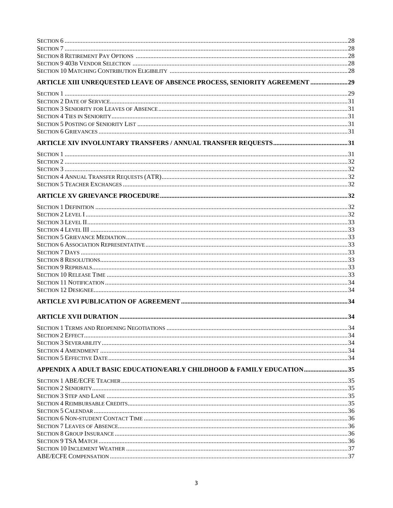| ARTICLE XIII UNREQUESTED LEAVE OF ABSENCE PROCESS, SENIORITY AGREEMENT 29 |  |
|---------------------------------------------------------------------------|--|
|                                                                           |  |
|                                                                           |  |
|                                                                           |  |
|                                                                           |  |
|                                                                           |  |
|                                                                           |  |
|                                                                           |  |
|                                                                           |  |
|                                                                           |  |
|                                                                           |  |
|                                                                           |  |
|                                                                           |  |
|                                                                           |  |
|                                                                           |  |
|                                                                           |  |
|                                                                           |  |
|                                                                           |  |
|                                                                           |  |
|                                                                           |  |
|                                                                           |  |
|                                                                           |  |
|                                                                           |  |
|                                                                           |  |
|                                                                           |  |
|                                                                           |  |
|                                                                           |  |
|                                                                           |  |
|                                                                           |  |
|                                                                           |  |
|                                                                           |  |
|                                                                           |  |
|                                                                           |  |
| APPENDIX A ADULT BASIC EDUCATION/EARLY CHILDHOOD & FAMILY EDUCATION35     |  |
|                                                                           |  |
|                                                                           |  |
|                                                                           |  |
|                                                                           |  |
|                                                                           |  |
|                                                                           |  |
|                                                                           |  |
|                                                                           |  |
|                                                                           |  |
|                                                                           |  |
|                                                                           |  |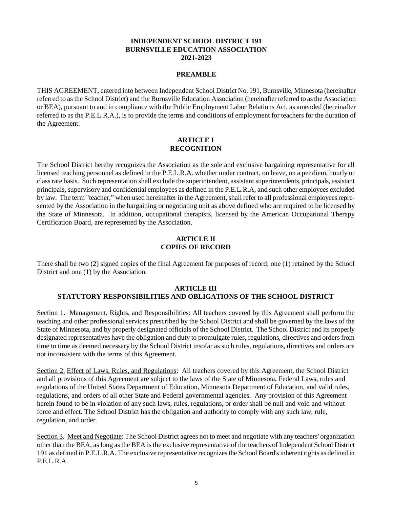#### **INDEPENDENT SCHOOL DISTRICT 191 BURNSVILLE EDUCATION ASSOCIATION 2021-2023**

#### **PREAMBLE**

THIS AGREEMENT, entered into between Independent School District No. 191, Burnsville, Minnesota (hereinafter referred to as the School District) and the Burnsville Education Association (hereinafter referred to as the Association or BEA), pursuant to and in compliance with the Public Employment Labor Relations Act, as amended (hereinafter referred to as the P.E.L.R.A.), is to provide the terms and conditions of employment for teachers for the duration of the Agreement.

#### **ARTICLE I RECOGNITION**

The School District hereby recognizes the Association as the sole and exclusive bargaining representative for all licensed teaching personnel as defined in the P.E.L.R.A. whether under contract, on leave, on a per diem, hourly or class rate basis. Such representation shall exclude the superintendent, assistant superintendents, principals, assistant principals, supervisory and confidential employees as defined in the P.E.L.R.A, and such other employees excluded by law. The term "teacher," when used hereinafter in the Agreement, shall refer to all professional employees represented by the Association in the bargaining or negotiating unit as above defined who are required to be licensed by the State of Minnesota. In addition, occupational therapists, licensed by the American Occupational Therapy Certification Board, are represented by the Association.

#### **ARTICLE II COPIES OF RECORD**

There shall be two (2) signed copies of the final Agreement for purposes of record; one (1) retained by the School District and one (1) by the Association.

#### **ARTICLE III STATUTORY RESPONSIBILITIES AND OBLIGATIONS OF THE SCHOOL DISTRICT**

Section 1. Management, Rights, and Responsibilities: All teachers covered by this Agreement shall perform the teaching and other professional services prescribed by the School District and shall be governed by the laws of the State of Minnesota, and by properly designated officials of the School District. The School District and its properly designated representatives have the obligation and duty to promulgate rules, regulations, directives and orders from time to time as deemed necessary by the School District insofar as such rules, regulations, directives and orders are not inconsistent with the terms of this Agreement.

Section 2. Effect of Laws, Rules, and Regulations: All teachers covered by this Agreement, the School District and all provisions of this Agreement are subject to the laws of the State of Minnesota, Federal Laws, rules and regulations of the United States Department of Education, Minnesota Department of Education, and valid rules, regulations, and orders of all other State and Federal governmental agencies. Any provision of this Agreement herein found to be in violation of any such laws, rules, regulations, or order shall be null and void and without force and effect. The School District has the obligation and authority to comply with any such law, rule, regulation, and order.

Section 3. Meet and Negotiate: The School District agrees not to meet and negotiate with any teachers' organization other than the BEA, as long as the BEA is the exclusive representative of the teachers of Independent School District 191 as defined in P.E.L.R.A. The exclusive representative recognizes the School Board's inherent rights as defined in P.E.L.R.A.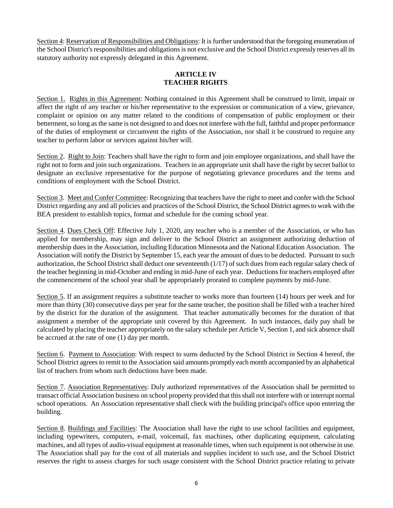Section 4: Reservation of Responsibilities and Obligations: It is further understood that the foregoing enumeration of the School District's responsibilities and obligations is not exclusive and the School District expressly reserves all its statutory authority not expressly delegated in this Agreement.

#### **ARTICLE IV TEACHER RIGHTS**

Section 1. Rights in this Agreement: Nothing contained in this Agreement shall be construed to limit, impair or affect the right of any teacher or his/her representative to the expression or communication of a view, grievance, complaint or opinion on any matter related to the conditions of compensation of public employment or their betterment, so long as the same is not designed to and does not interfere with the full, faithful and proper performance of the duties of employment or circumvent the rights of the Association, nor shall it be construed to require any teacher to perform labor or services against his/her will.

Section 2. Right to Join: Teachers shall have the right to form and join employee organizations, and shall have the right not to form and join such organizations. Teachers in an appropriate unit shall have the right by secret ballot to designate an exclusive representative for the purpose of negotiating grievance procedures and the terms and conditions of employment with the School District.

Section 3. Meet and Confer Committee: Recognizing that teachers have the right to meet and confer with the School District regarding any and all policies and practices of the School District, the School District agrees to work with the BEA president to establish topics, format and schedule for the coming school year.

Section 4. Dues Check Off: Effective July 1, 2020, any teacher who is a member of the Association, or who has applied for membership, may sign and deliver to the School District an assignment authorizing deduction of membership dues in the Association, including Education Minnesota and the National Education Association. The Association will notify the District by September 15, each year the amount of dues to be deducted. Pursuant to such authorization, the School District shall deduct one seventeenth (1/17) of such dues from each regular salary check of the teacher beginning in mid-October and ending in mid-June of each year. Deductions for teachers employed after the commencement of the school year shall be appropriately prorated to complete payments by mid-June.

Section 5. If an assignment requires a substitute teacher to works more than fourteen (14) hours per week and for more than thirty (30) consecutive days per year for the same teacher, the position shall be filled with a teacher hired by the district for the duration of the assignment. That teacher automatically becomes for the duration of that assignment a member of the appropriate unit covered by this Agreement. In such instances, daily pay shall be calculated by placing the teacher appropriately on the salary schedule per Article V, Section 1, and sick absence shall be accrued at the rate of one (1) day per month.

Section 6. Payment to Association: With respect to sums deducted by the School District in Section 4 hereof, the School District agrees to remit to the Association said amounts promptly each month accompanied by an alphabetical list of teachers from whom such deductions have been made.

Section 7. Association Representatives: Duly authorized representatives of the Association shall be permitted to transact official Association business on school property provided that this shall not interfere with or interrupt normal school operations. An Association representative shall check with the building principal's office upon entering the building.

Section 8. Buildings and Facilities: The Association shall have the right to use school facilities and equipment, including typewriters, computers, e-mail, voicemail, fax machines, other duplicating equipment, calculating machines, and all types of audio-visual equipment at reasonable times, when such equipment is not otherwise in use. The Association shall pay for the cost of all materials and supplies incident to such use, and the School District reserves the right to assess charges for such usage consistent with the School District practice relating to private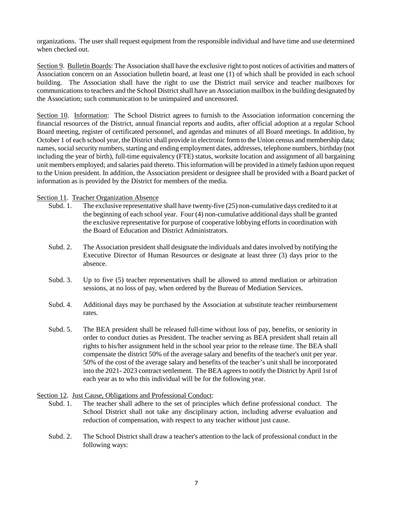organizations. The user shall request equipment from the responsible individual and have time and use determined when checked out.

Section 9. Bulletin Boards: The Association shall have the exclusive right to post notices of activities and matters of Association concern on an Association bulletin board, at least one (1) of which shall be provided in each school building. The Association shall have the right to use the District mail service and teacher mailboxes for communications to teachers and the School District shall have an Association mailbox in the building designated by the Association; such communication to be unimpaired and uncensored.

Section 10. Information: The School District agrees to furnish to the Association information concerning the financial resources of the District, annual financial reports and audits, after official adoption at a regular School Board meeting, register of certificated personnel, and agendas and minutes of all Board meetings. In addition, by October 1 of each school year, the District shall provide in electronic form to the Union census and membership data; names, social security numbers, starting and ending employment dates, addresses, telephone numbers, birthday (not including the year of birth), full-time equivalency (FTE) status, worksite location and assignment of all bargaining unit members employed; and salaries paid thereto. This information will be provided in a timely fashion upon request to the Union president. In addition, the Association president or designee shall be provided with a Board packet of information as is provided by the District for members of the media.

#### Section 11. Teacher Organization Absence

- Subd. 1. The exclusive representative shall have twenty-five (25) non-cumulative days credited to it at the beginning of each school year. Four (4) non-cumulative additional days shall be granted the exclusive representative for purpose of cooperative lobbying efforts in coordination with the Board of Education and District Administrators.
- Subd. 2. The Association president shall designate the individuals and dates involved by notifying the Executive Director of Human Resources or designate at least three (3) days prior to the absence.
- Subd. 3. Up to five (5) teacher representatives shall be allowed to attend mediation or arbitration sessions, at no loss of pay, when ordered by the Bureau of Mediation Services.
- Subd. 4. Additional days may be purchased by the Association at substitute teacher reimbursement rates.
- Subd. 5. The BEA president shall be released full-time without loss of pay, benefits, or seniority in order to conduct duties as President. The teacher serving as BEA president shall retain all rights to his/her assignment held in the school year prior to the release time. The BEA shall compensate the district 50% of the average salary and benefits of the teacher's unit per year. 50% of the cost of the average salary and benefits of the teacher's unit shall be incorporated into the 2021- 2023 contract settlement. The BEA agrees to notify the District by April 1st of each year as to who this individual will be for the following year.

#### Section 12. Just Cause, Obligations and Professional Conduct:

- Subd. 1. The teacher shall adhere to the set of principles which define professional conduct. The School District shall not take any disciplinary action, including adverse evaluation and reduction of compensation, with respect to any teacher without just cause.
- Subd. 2. The School District shall draw a teacher's attention to the lack of professional conduct in the following ways: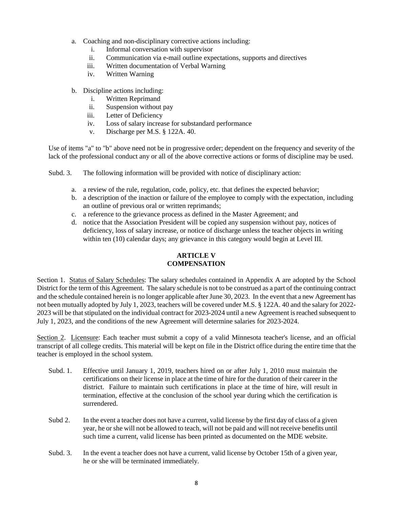- a. Coaching and non-disciplinary corrective actions including:
	- i. Informal conversation with supervisor
	- ii. Communication via e-mail outline expectations, supports and directives
	- iii. Written documentation of Verbal Warning
	- iv. Written Warning
- b. Discipline actions including:
	- i. Written Reprimand
	- ii. Suspension without pay
	- iii. Letter of Deficiency
	- iv. Loss of salary increase for substandard performance
	- v. Discharge per M.S. § 122A. 40.

Use of items "a" to "b" above need not be in progressive order; dependent on the frequency and severity of the lack of the professional conduct any or all of the above corrective actions or forms of discipline may be used.

Subd. 3. The following information will be provided with notice of disciplinary action:

- a. a review of the rule, regulation, code, policy, etc. that defines the expected behavior;
- b. a description of the inaction or failure of the employee to comply with the expectation, including an outline of previous oral or written reprimands;
- c. a reference to the grievance process as defined in the Master Agreement; and
- d. notice that the Association President will be copied any suspension without pay, notices of deficiency, loss of salary increase, or notice of discharge unless the teacher objects in writing within ten (10) calendar days; any grievance in this category would begin at Level III.

## **ARTICLE V COMPENSATION**

Section 1. Status of Salary Schedules: The salary schedules contained in Appendix A are adopted by the School District for the term of this Agreement. The salary schedule is not to be construed as a part of the continuing contract and the schedule contained herein is no longer applicable after June 30, 2023. In the event that a new Agreement has not been mutually adopted by July 1, 2023, teachers will be covered under M.S. § 122A. 40 and the salary for 2022- 2023 will be that stipulated on the individual contract for 2023-2024 until a new Agreement is reached subsequent to July 1, 2023, and the conditions of the new Agreement will determine salaries for 2023-2024.

Section 2. Licensure: Each teacher must submit a copy of a valid Minnesota teacher's license, and an official transcript of all college credits. This material will be kept on file in the District office during the entire time that the teacher is employed in the school system.

- Subd. 1. Effective until January 1, 2019, teachers hired on or after July 1, 2010 must maintain the certifications on their license in place at the time of hire for the duration of their career in the district. Failure to maintain such certifications in place at the time of hire, will result in termination, effective at the conclusion of the school year during which the certification is surrendered.
- Subd 2. In the event a teacher does not have a current, valid license by the first day of class of a given year, he or she will not be allowed to teach, will not be paid and will not receive benefits until such time a current, valid license has been printed as documented on the MDE website.
- Subd. 3. In the event a teacher does not have a current, valid license by October 15th of a given year, he or she will be terminated immediately.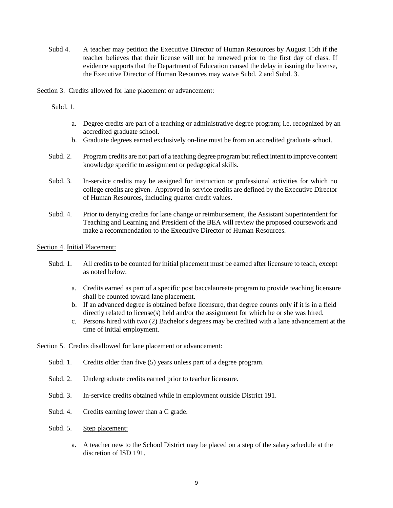Subd 4. A teacher may petition the Executive Director of Human Resources by August 15th if the teacher believes that their license will not be renewed prior to the first day of class. If evidence supports that the Department of Education caused the delay in issuing the license, the Executive Director of Human Resources may waive Subd. 2 and Subd. 3.

Section 3. Credits allowed for lane placement or advancement:

Subd. 1.

- a. Degree credits are part of a teaching or administrative degree program; i.e. recognized by an accredited graduate school.
- b. Graduate degrees earned exclusively on-line must be from an accredited graduate school.
- Subd. 2. Program credits are not part of a teaching degree program but reflect intent to improve content knowledge specific to assignment or pedagogical skills.
- Subd. 3. In-service credits may be assigned for instruction or professional activities for which no college credits are given. Approved in-service credits are defined by the Executive Director of Human Resources, including quarter credit values.
- Subd. 4. Prior to denying credits for lane change or reimbursement, the Assistant Superintendent for Teaching and Learning and President of the BEA will review the proposed coursework and make a recommendation to the Executive Director of Human Resources.

#### Section 4. Initial Placement:

- Subd. 1. All credits to be counted for initial placement must be earned after licensure to teach, except as noted below.
	- a. Credits earned as part of a specific post baccalaureate program to provide teaching licensure shall be counted toward lane placement.
	- b. If an advanced degree is obtained before licensure, that degree counts only if it is in a field directly related to license(s) held and/or the assignment for which he or she was hired.
	- c. Persons hired with two (2) Bachelor's degrees may be credited with a lane advancement at the time of initial employment.

#### Section 5. Credits disallowed for lane placement or advancement:

- Subd. 1. Credits older than five (5) years unless part of a degree program.
- Subd. 2. Undergraduate credits earned prior to teacher licensure.
- Subd. 3. In-service credits obtained while in employment outside District 191.
- Subd. 4. Credits earning lower than a C grade.
- Subd. 5. Step placement:
	- a. A teacher new to the School District may be placed on a step of the salary schedule at the discretion of ISD 191.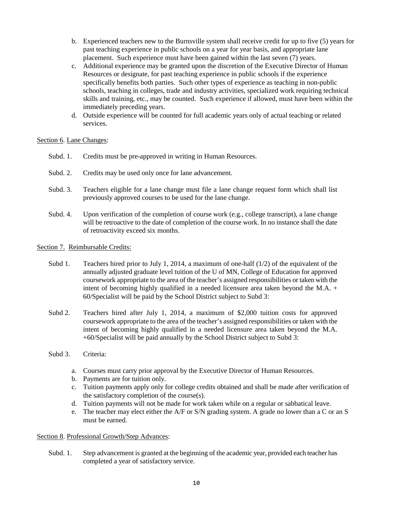- b. Experienced teachers new to the Burnsville system shall receive credit for up to five (5) years for past teaching experience in public schools on a year for year basis, and appropriate lane placement. Such experience must have been gained within the last seven (7) years.
- c. Additional experience may be granted upon the discretion of the Executive Director of Human Resources or designate, for past teaching experience in public schools if the experience specifically benefits both parties. Such other types of experience as teaching in non-public schools, teaching in colleges, trade and industry activities, specialized work requiring technical skills and training, etc., may be counted. Such experience if allowed, must have been within the immediately preceding years.
- d. Outside experience will be counted for full academic years only of actual teaching or related services.

#### Section 6. Lane Changes:

- Subd. 1. Credits must be pre-approved in writing in Human Resources.
- Subd. 2. Credits may be used only once for lane advancement.
- Subd. 3. Teachers eligible for a lane change must file a lane change request form which shall list previously approved courses to be used for the lane change.
- Subd. 4. Upon verification of the completion of course work (e.g., college transcript), a lane change will be retroactive to the date of completion of the course work. In no instance shall the date of retroactivity exceed six months.

#### Section 7. Reimbursable Credits:

- Subd 1. Teachers hired prior to July 1, 2014, a maximum of one-half  $(1/2)$  of the equivalent of the annually adjusted graduate level tuition of the U of MN, College of Education for approved coursework appropriate to the area of the teacher's assigned responsibilities or taken with the intent of becoming highly qualified in a needed licensure area taken beyond the M.A. + 60/Specialist will be paid by the School District subject to Subd 3:
- Subd 2. Teachers hired after July 1, 2014, a maximum of \$2,000 tuition costs for approved coursework appropriate to the area of the teacher's assigned responsibilities or taken with the intent of becoming highly qualified in a needed licensure area taken beyond the M.A. +60/Specialist will be paid annually by the School District subject to Subd 3:
- Subd 3. Criteria:
	- a. Courses must carry prior approval by the Executive Director of Human Resources.
	- b. Payments are for tuition only.
	- c. Tuition payments apply only for college credits obtained and shall be made after verification of the satisfactory completion of the course(s).
	- d. Tuition payments will not be made for work taken while on a regular or sabbatical leave.
	- e. The teacher may elect either the A/F or S/N grading system. A grade no lower than a C or an S must be earned.

#### Section 8. Professional Growth/Step Advances:

Subd. 1. Step advancement is granted at the beginning of the academic year, provided each teacher has completed a year of satisfactory service.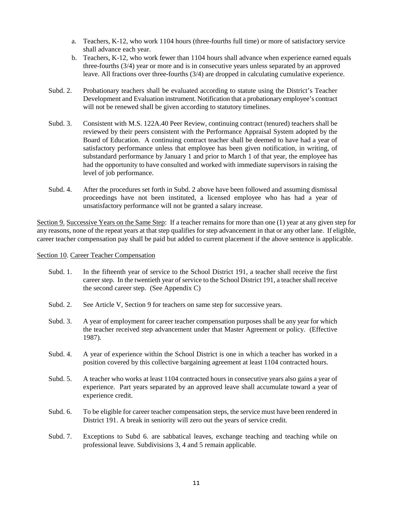- a. Teachers, K-12, who work 1104 hours (three-fourths full time) or more of satisfactory service shall advance each year.
- b. Teachers, K-12, who work fewer than 1104 hours shall advance when experience earned equals three-fourths (3/4) year or more and is in consecutive years unless separated by an approved leave. All fractions over three-fourths (3/4) are dropped in calculating cumulative experience.
- Subd. 2. Probationary teachers shall be evaluated according to statute using the District's Teacher Development and Evaluation instrument. Notification that a probationary employee's contract will not be renewed shall be given according to statutory timelines.
- Subd. 3. Consistent with M.S. 122A.40 Peer Review, continuing contract (tenured) teachers shall be reviewed by their peers consistent with the Performance Appraisal System adopted by the Board of Education. A continuing contract teacher shall be deemed to have had a year of satisfactory performance unless that employee has been given notification, in writing, of substandard performance by January 1 and prior to March 1 of that year, the employee has had the opportunity to have consulted and worked with immediate supervisors in raising the level of job performance.
- Subd. 4. After the procedures set forth in Subd. 2 above have been followed and assuming dismissal proceedings have not been instituted, a licensed employee who has had a year of unsatisfactory performance will not be granted a salary increase.

Section 9. Successive Years on the Same Step: If a teacher remains for more than one (1) year at any given step for any reasons, none of the repeat years at that step qualifies for step advancement in that or any other lane. If eligible, career teacher compensation pay shall be paid but added to current placement if the above sentence is applicable.

#### Section 10. Career Teacher Compensation

- Subd. 1. In the fifteenth year of service to the School District 191, a teacher shall receive the first career step. In the twentieth year of service to the School District 191, a teacher shall receive the second career step. (See Appendix C)
- Subd. 2. See Article V, Section 9 for teachers on same step for successive years.
- Subd. 3. A year of employment for career teacher compensation purposes shall be any year for which the teacher received step advancement under that Master Agreement or policy. (Effective 1987).
- Subd. 4. A year of experience within the School District is one in which a teacher has worked in a position covered by this collective bargaining agreement at least 1104 contracted hours.
- Subd. 5. A teacher who works at least 1104 contracted hours in consecutive years also gains a year of experience. Part years separated by an approved leave shall accumulate toward a year of experience credit.
- Subd. 6. To be eligible for career teacher compensation steps, the service must have been rendered in District 191. A break in seniority will zero out the years of service credit.
- Subd. 7. Exceptions to Subd 6. are sabbatical leaves, exchange teaching and teaching while on professional leave. Subdivisions 3, 4 and 5 remain applicable.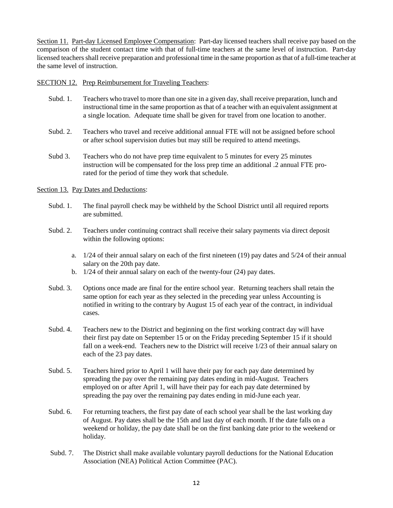Section 11. Part-day Licensed Employee Compensation: Part-day licensed teachers shall receive pay based on the comparison of the student contact time with that of full-time teachers at the same level of instruction. Part-day licensed teachers shall receive preparation and professional time in the same proportion as that of a full-time teacher at the same level of instruction.

#### SECTION 12. Prep Reimbursement for Traveling Teachers:

- Subd. 1. Teachers who travel to more than one site in a given day, shall receive preparation, lunch and instructional time in the same proportion as that of a teacher with an equivalent assignment at a single location. Adequate time shall be given for travel from one location to another.
- Subd. 2. Teachers who travel and receive additional annual FTE will not be assigned before school or after school supervision duties but may still be required to attend meetings.
- Subd 3. Teachers who do not have prep time equivalent to 5 minutes for every 25 minutes instruction will be compensated for the loss prep time an additional .2 annual FTE prorated for the period of time they work that schedule.

#### Section 13. Pay Dates and Deductions:

- Subd. 1. The final payroll check may be withheld by the School District until all required reports are submitted.
- Subd. 2. Teachers under continuing contract shall receive their salary payments via direct deposit within the following options:
	- a. 1/24 of their annual salary on each of the first nineteen (19) pay dates and 5/24 of their annual salary on the 20th pay date.
	- b. 1/24 of their annual salary on each of the twenty-four (24) pay dates.
- Subd. 3. Options once made are final for the entire school year. Returning teachers shall retain the same option for each year as they selected in the preceding year unless Accounting is notified in writing to the contrary by August 15 of each year of the contract, in individual cases.
- Subd. 4. Teachers new to the District and beginning on the first working contract day will have their first pay date on September 15 or on the Friday preceding September 15 if it should fall on a week-end. Teachers new to the District will receive 1/23 of their annual salary on each of the 23 pay dates.
- Subd. 5. Teachers hired prior to April 1 will have their pay for each pay date determined by spreading the pay over the remaining pay dates ending in mid-August. Teachers employed on or after April 1, will have their pay for each pay date determined by spreading the pay over the remaining pay dates ending in mid-June each year.
- Subd. 6. For returning teachers, the first pay date of each school year shall be the last working day of August. Pay dates shall be the 15th and last day of each month. If the date falls on a weekend or holiday, the pay date shall be on the first banking date prior to the weekend or holiday.
- Subd. 7. The District shall make available voluntary payroll deductions for the National Education Association (NEA) Political Action Committee (PAC).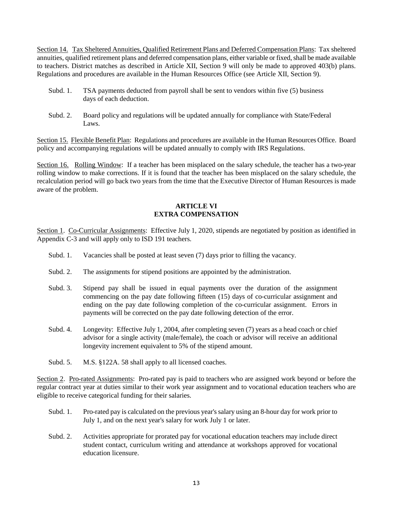Section 14. Tax Sheltered Annuities, Qualified Retirement Plans and Deferred Compensation Plans: Tax sheltered annuities, qualified retirement plans and deferred compensation plans, either variable or fixed, shall be made available to teachers. District matches as described in Article XII, Section 9 will only be made to approved 403(b) plans. Regulations and procedures are available in the Human Resources Office (see Article XII, Section 9).

- Subd. 1. TSA payments deducted from payroll shall be sent to vendors within five (5) business days of each deduction.
- Subd. 2. Board policy and regulations will be updated annually for compliance with State/Federal Laws.

Section 15. Flexible Benefit Plan: Regulations and procedures are available in the Human Resources Office. Board policy and accompanying regulations will be updated annually to comply with IRS Regulations.

Section 16. Rolling Window: If a teacher has been misplaced on the salary schedule, the teacher has a two-year rolling window to make corrections. If it is found that the teacher has been misplaced on the salary schedule, the recalculation period will go back two years from the time that the Executive Director of Human Resources is made aware of the problem.

#### **ARTICLE VI EXTRA COMPENSATION**

Section 1. Co-Curricular Assignments: Effective July 1, 2020, stipends are negotiated by position as identified in Appendix C-3 and will apply only to ISD 191 teachers.

- Subd. 1. Vacancies shall be posted at least seven (7) days prior to filling the vacancy.
- Subd. 2. The assignments for stipend positions are appointed by the administration.
- Subd. 3. Stipend pay shall be issued in equal payments over the duration of the assignment commencing on the pay date following fifteen (15) days of co-curricular assignment and ending on the pay date following completion of the co-curricular assignment. Errors in payments will be corrected on the pay date following detection of the error.
- Subd. 4. Longevity: Effective July 1, 2004, after completing seven (7) years as a head coach or chief advisor for a single activity (male/female), the coach or advisor will receive an additional longevity increment equivalent to 5% of the stipend amount.
- Subd. 5. M.S. §122A. 58 shall apply to all licensed coaches.

Section 2. Pro-rated Assignments: Pro-rated pay is paid to teachers who are assigned work beyond or before the regular contract year at duties similar to their work year assignment and to vocational education teachers who are eligible to receive categorical funding for their salaries.

- Subd. 1. Pro-rated pay is calculated on the previous year's salary using an 8-hour day for work prior to July 1, and on the next year's salary for work July 1 or later.
- Subd. 2. Activities appropriate for prorated pay for vocational education teachers may include direct student contact, curriculum writing and attendance at workshops approved for vocational education licensure.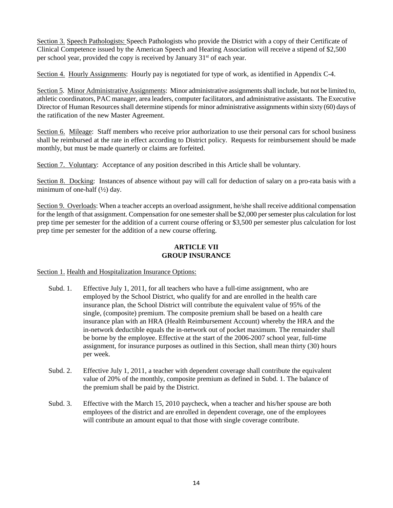Section 3. Speech Pathologists: Speech Pathologists who provide the District with a copy of their Certificate of Clinical Competence issued by the American Speech and Hearing Association will receive a stipend of \$2,500 per school year, provided the copy is received by January 31st of each year.

Section 4. Hourly Assignments: Hourly pay is negotiated for type of work, as identified in Appendix C-4.

Section 5. Minor Administrative Assignments: Minor administrative assignments shall include, but not be limited to, athletic coordinators, PAC manager, area leaders, computer facilitators, and administrative assistants. The Executive Director of Human Resources shall determine stipends for minor administrative assignments within sixty (60) days of the ratification of the new Master Agreement.

Section 6. Mileage: Staff members who receive prior authorization to use their personal cars for school business shall be reimbursed at the rate in effect according to District policy. Requests for reimbursement should be made monthly, but must be made quarterly or claims are forfeited.

Section 7. Voluntary: Acceptance of any position described in this Article shall be voluntary.

Section 8. Docking: Instances of absence without pay will call for deduction of salary on a pro-rata basis with a minimum of one-half  $(\frac{1}{2})$  day.

Section 9. Overloads: When a teacher accepts an overload assignment, he/she shall receive additional compensation for the length of that assignment. Compensation for one semester shall be \$2,000 per semester plus calculation for lost prep time per semester for the addition of a current course offering or \$3,500 per semester plus calculation for lost prep time per semester for the addition of a new course offering.

#### **ARTICLE VII GROUP INSURANCE**

Section 1. Health and Hospitalization Insurance Options:

- Subd. 1. Effective July 1, 2011, for all teachers who have a full-time assignment, who are employed by the School District, who qualify for and are enrolled in the health care insurance plan, the School District will contribute the equivalent value of 95% of the single, (composite) premium. The composite premium shall be based on a health care insurance plan with an HRA (Health Reimbursement Account) whereby the HRA and the in-network deductible equals the in-network out of pocket maximum. The remainder shall be borne by the employee. Effective at the start of the 2006-2007 school year, full-time assignment, for insurance purposes as outlined in this Section, shall mean thirty (30) hours per week.
- Subd. 2. Effective July 1, 2011, a teacher with dependent coverage shall contribute the equivalent value of 20% of the monthly, composite premium as defined in Subd. 1. The balance of the premium shall be paid by the District.
- Subd. 3. Effective with the March 15, 2010 paycheck, when a teacher and his/her spouse are both employees of the district and are enrolled in dependent coverage, one of the employees will contribute an amount equal to that those with single coverage contribute.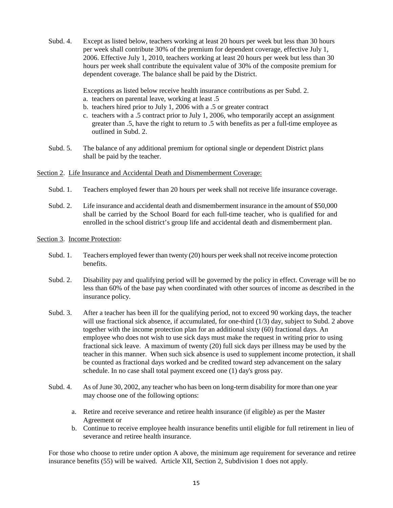Subd. 4. Except as listed below, teachers working at least 20 hours per week but less than 30 hours per week shall contribute 30% of the premium for dependent coverage, effective July 1, 2006. Effective July 1, 2010, teachers working at least 20 hours per week but less than 30 hours per week shall contribute the equivalent value of 30% of the composite premium for dependent coverage. The balance shall be paid by the District.

Exceptions as listed below receive health insurance contributions as per Subd. 2.

- a. teachers on parental leave, working at least .5
- b. teachers hired prior to July 1, 2006 with a .5 or greater contract
- c. teachers with a .5 contract prior to July 1, 2006, who temporarily accept an assignment greater than .5, have the right to return to .5 with benefits as per a full-time employee as outlined in Subd. 2.
- Subd. 5. The balance of any additional premium for optional single or dependent District plans shall be paid by the teacher.

#### Section 2. Life Insurance and Accidental Death and Dismemberment Coverage:

- Subd. 1. Teachers employed fewer than 20 hours per week shall not receive life insurance coverage.
- Subd. 2. Life insurance and accidental death and dismemberment insurance in the amount of \$50,000 shall be carried by the School Board for each full-time teacher, who is qualified for and enrolled in the school district's group life and accidental death and dismemberment plan.
- Section 3. Income Protection:
	- Subd. 1. Teachers employed fewer than twenty (20) hours per week shall not receive income protection benefits.
	- Subd. 2. Disability pay and qualifying period will be governed by the policy in effect. Coverage will be no less than 60% of the base pay when coordinated with other sources of income as described in the insurance policy.
	- Subd. 3. After a teacher has been ill for the qualifying period, not to exceed 90 working days, the teacher will use fractional sick absence, if accumulated, for one-third (1/3) day, subject to Subd. 2 above together with the income protection plan for an additional sixty (60) fractional days. An employee who does not wish to use sick days must make the request in writing prior to using fractional sick leave. A maximum of twenty (20) full sick days per illness may be used by the teacher in this manner. When such sick absence is used to supplement income protection, it shall be counted as fractional days worked and be credited toward step advancement on the salary schedule. In no case shall total payment exceed one (1) day's gross pay.
	- Subd. 4. As of June 30, 2002, any teacher who has been on long-term disability for more than one year may choose one of the following options:
		- a. Retire and receive severance and retiree health insurance (if eligible) as per the Master Agreement or
		- b. Continue to receive employee health insurance benefits until eligible for full retirement in lieu of severance and retiree health insurance.

For those who choose to retire under option A above, the minimum age requirement for severance and retiree insurance benefits (55) will be waived. Article XII, Section 2, Subdivision 1 does not apply.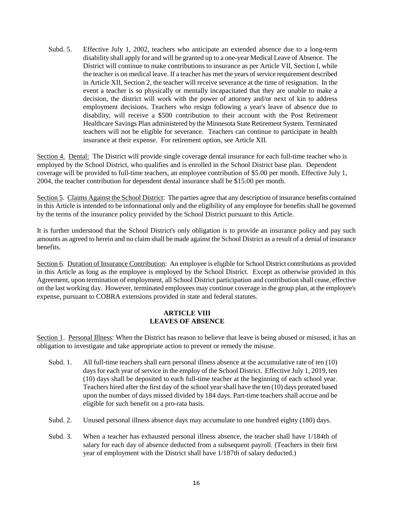Subd. 5. Effective July 1, 2002, teachers who anticipate an extended absence due to a long-term disability shall apply for and will be granted up to a one-year Medical Leave of Absence. The District will continue to make contributions to insurance as per Article VII, Section l, while the teacher is on medical leave. If a teacher has met the years of service requirement described in Article XII, Section 2, the teacher will receive severance at the time of resignation. In the event a teacher is so physically or mentally incapacitated that they are unable to make a decision, the district will work with the power of attorney and/or next of kin to address employment decisions. Teachers who resign following a year's leave of absence due to disability, will receive a \$500 contribution to their account with the Post Retirement Healthcare Savings Plan administered by the Minnesota State Retirement System. Terminated teachers will not be eligible for severance. Teachers can continue to participate in health insurance at their expense. For retirement option, see Article XII.

Section 4. Dental: The District will provide single coverage dental insurance for each full-time teacher who is employed by the School District, who qualifies and is enrolled in the School District base plan. Dependent coverage will be provided to full-time teachers, an employee contribution of \$5.00 per month. Effective July 1, 2004, the teacher contribution for dependent dental insurance shall be \$15.00 per month.

Section 5. Claims Against the School District: The parties agree that any description of insurance benefits contained in this Article is intended to be informational only and the eligibility of any employee for benefits shall be governed by the terms of the insurance policy provided by the School District pursuant to this Article.

It is further understood that the School District's only obligation is to provide an insurance policy and pay such amounts as agreed to herein and no claim shall be made against the School District as a result of a denial of insurance benefits.

Section 6. Duration of Insurance Contribution: An employee is eligible for School District contributions as provided in this Article as long as the employee is employed by the School District. Except as otherwise provided in this Agreement, upon termination of employment, all School District participation and contribution shall cease, effective on the last working day. However, terminated employees may continue coverage in the group plan, at the employee's expense, pursuant to COBRA extensions provided in state and federal statutes.

#### **ARTICLE VIII LEAVES OF ABSENCE**

Section 1. Personal Illness: When the District has reason to believe that leave is being abused or misused, it has an obligation to investigate and take appropriate action to prevent or remedy the misuse.

- Subd. 1. All full-time teachers shall earn personal illness absence at the accumulative rate of ten (10) days for each year of service in the employ of the School District. Effective July 1, 2019, ten (10) days shall be deposited to each full-time teacher at the beginning of each school year. Teachers hired after the first day of the school year shall have the ten (10) days prorated based upon the number of days missed divided by 184 days. Part-time teachers shall accrue and be eligible for such benefit on a pro-rata basis.
- Subd. 2. Unused personal illness absence days may accumulate to one hundred eighty (180) days.
- Subd. 3. When a teacher has exhausted personal illness absence, the teacher shall have 1/184th of salary for each day of absence deducted from a subsequent payroll. (Teachers in their first year of employment with the District shall have 1/187th of salary deducted.)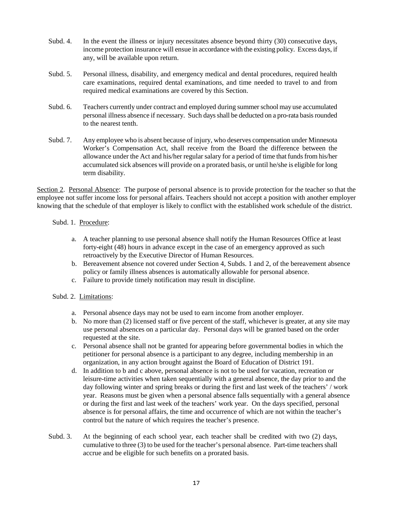- Subd. 4. In the event the illness or injury necessitates absence beyond thirty (30) consecutive days, income protection insurance will ensue in accordance with the existing policy. Excess days, if any, will be available upon return.
- Subd. 5. Personal illness, disability, and emergency medical and dental procedures, required health care examinations, required dental examinations, and time needed to travel to and from required medical examinations are covered by this Section.
- Subd. 6. Teachers currently under contract and employed during summer school may use accumulated personal illness absence if necessary. Such days shall be deducted on a pro-rata basis rounded to the nearest tenth.
- Subd. 7. Any employee who is absent because of injury, who deserves compensation under Minnesota Worker's Compensation Act, shall receive from the Board the difference between the allowance under the Act and his/her regular salary for a period of time that funds from his/her accumulated sick absences will provide on a prorated basis, or until he/she is eligible for long term disability.

Section 2. Personal Absence: The purpose of personal absence is to provide protection for the teacher so that the employee not suffer income loss for personal affairs. Teachers should not accept a position with another employer knowing that the schedule of that employer is likely to conflict with the established work schedule of the district.

#### Subd. 1. Procedure:

- a. A teacher planning to use personal absence shall notify the Human Resources Office at least forty-eight (48) hours in advance except in the case of an emergency approved as such retroactively by the Executive Director of Human Resources.
- b. Bereavement absence not covered under Section 4, Subds. 1 and 2, of the bereavement absence policy or family illness absences is automatically allowable for personal absence.
- c. Failure to provide timely notification may result in discipline.

#### Subd. 2. Limitations:

- a. Personal absence days may not be used to earn income from another employer.
- b. No more than (2) licensed staff or five percent of the staff, whichever is greater, at any site may use personal absences on a particular day. Personal days will be granted based on the order requested at the site.
- c. Personal absence shall not be granted for appearing before governmental bodies in which the petitioner for personal absence is a participant to any degree, including membership in an organization, in any action brought against the Board of Education of District 191.
- d. In addition to b and c above, personal absence is not to be used for vacation, recreation or leisure-time activities when taken sequentially with a general absence, the day prior to and the day following winter and spring breaks or during the first and last week of the teachers' / work year. Reasons must be given when a personal absence falls sequentially with a general absence or during the first and last week of the teachers' work year. On the days specified, personal absence is for personal affairs, the time and occurrence of which are not within the teacher's control but the nature of which requires the teacher's presence.
- Subd. 3. At the beginning of each school year, each teacher shall be credited with two (2) days, cumulative to three (3) to be used for the teacher's personal absence. Part-time teachers shall accrue and be eligible for such benefits on a prorated basis.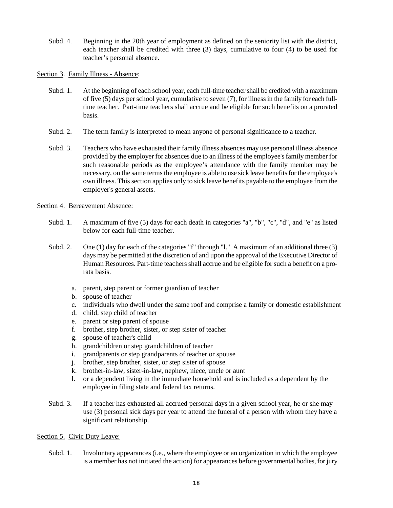- Subd. 4. Beginning in the 20th year of employment as defined on the seniority list with the district, each teacher shall be credited with three (3) days, cumulative to four (4) to be used for teacher's personal absence.
- Section 3. Family Illness Absence:
	- Subd. 1. At the beginning of each school year, each full-time teacher shall be credited with a maximum of five (5) days per school year, cumulative to seven (7), for illness in the family for each fulltime teacher. Part-time teachers shall accrue and be eligible for such benefits on a prorated basis.
	- Subd. 2. The term family is interpreted to mean anyone of personal significance to a teacher.
	- Subd. 3. Teachers who have exhausted their family illness absences may use personal illness absence provided by the employer for absences due to an illness of the employee's family member for such reasonable periods as the employee's attendance with the family member may be necessary, on the same terms the employee is able to use sick leave benefits for the employee's own illness. This section applies only to sick leave benefits payable to the employee from the employer's general assets.

#### Section 4. Bereavement Absence:

- Subd. 1. A maximum of five (5) days for each death in categories "a", "b", "c", "d", and "e" as listed below for each full-time teacher.
- Subd. 2. One (1) day for each of the categories "f" through "l." A maximum of an additional three (3) days may be permitted at the discretion of and upon the approval of the Executive Director of Human Resources. Part-time teachers shall accrue and be eligible for such a benefit on a prorata basis.
	- a. parent, step parent or former guardian of teacher
	- b. spouse of teacher
	- c. individuals who dwell under the same roof and comprise a family or domestic establishment
	- d. child, step child of teacher
	- e. parent or step parent of spouse
	- f. brother, step brother, sister, or step sister of teacher
	- g. spouse of teacher's child
	- h. grandchildren or step grandchildren of teacher
	- i. grandparents or step grandparents of teacher or spouse
	- j. brother, step brother, sister, or step sister of spouse
	- k. brother-in-law, sister-in-law, nephew, niece, uncle or aunt
	- l. or a dependent living in the immediate household and is included as a dependent by the employee in filing state and federal tax returns.
- Subd. 3. If a teacher has exhausted all accrued personal days in a given school year, he or she may use (3) personal sick days per year to attend the funeral of a person with whom they have a significant relationship.

#### Section 5. Civic Duty Leave:

Subd. 1. Involuntary appearances (i.e., where the employee or an organization in which the employee is a member has not initiated the action) for appearances before governmental bodies, for jury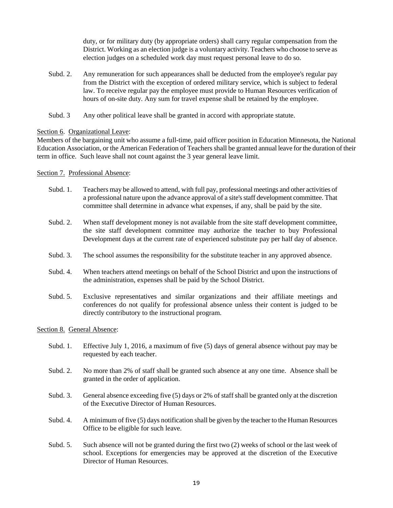duty, or for military duty (by appropriate orders) shall carry regular compensation from the District. Working as an election judge is a voluntary activity. Teachers who choose to serve as election judges on a scheduled work day must request personal leave to do so.

- Subd. 2. Any remuneration for such appearances shall be deducted from the employee's regular pay from the District with the exception of ordered military service, which is subject to federal law. To receive regular pay the employee must provide to Human Resources verification of hours of on-site duty. Any sum for travel expense shall be retained by the employee.
- Subd. 3 Any other political leave shall be granted in accord with appropriate statute.

#### Section 6. Organizational Leave:

Members of the bargaining unit who assume a full-time, paid officer position in Education Minnesota, the National Education Association, or the American Federation of Teachers shall be granted annual leave for the duration of their term in office. Such leave shall not count against the 3 year general leave limit.

#### Section 7. Professional Absence:

- Subd. 1. Teachers may be allowed to attend, with full pay, professional meetings and other activities of a professional nature upon the advance approval of a site's staff development committee. That committee shall determine in advance what expenses, if any, shall be paid by the site.
- Subd. 2. When staff development money is not available from the site staff development committee, the site staff development committee may authorize the teacher to buy Professional Development days at the current rate of experienced substitute pay per half day of absence.
- Subd. 3. The school assumes the responsibility for the substitute teacher in any approved absence.
- Subd. 4. When teachers attend meetings on behalf of the School District and upon the instructions of the administration, expenses shall be paid by the School District.
- Subd. 5. Exclusive representatives and similar organizations and their affiliate meetings and conferences do not qualify for professional absence unless their content is judged to be directly contributory to the instructional program.

#### Section 8. General Absence:

- Subd. 1. Effective July 1, 2016, a maximum of five (5) days of general absence without pay may be requested by each teacher.
- Subd. 2. No more than 2% of staff shall be granted such absence at any one time. Absence shall be granted in the order of application.
- Subd. 3. General absence exceeding five (5) days or 2% of staff shall be granted only at the discretion of the Executive Director of Human Resources.
- Subd. 4. A minimum of five (5) days notification shall be given by the teacher to the Human Resources Office to be eligible for such leave.
- Subd. 5. Such absence will not be granted during the first two (2) weeks of school or the last week of school. Exceptions for emergencies may be approved at the discretion of the Executive Director of Human Resources.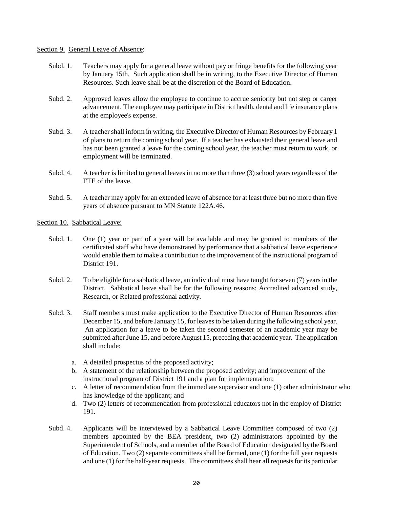#### Section 9. General Leave of Absence:

- Subd. 1. Teachers may apply for a general leave without pay or fringe benefits for the following year by January 15th. Such application shall be in writing, to the Executive Director of Human Resources. Such leave shall be at the discretion of the Board of Education.
- Subd. 2. Approved leaves allow the employee to continue to accrue seniority but not step or career advancement. The employee may participate in District health, dental and life insurance plans at the employee's expense.
- Subd. 3. A teacher shall inform in writing, the Executive Director of Human Resources by February 1 of plans to return the coming school year. If a teacher has exhausted their general leave and has not been granted a leave for the coming school year, the teacher must return to work, or employment will be terminated.
- Subd. 4. A teacher is limited to general leaves in no more than three (3) school years regardless of the FTE of the leave.
- Subd. 5. A teacher may apply for an extended leave of absence for at least three but no more than five years of absence pursuant to MN Statute 122A.46.
- Section 10. Sabbatical Leave:
	- Subd. 1. One (1) year or part of a year will be available and may be granted to members of the certificated staff who have demonstrated by performance that a sabbatical leave experience would enable them to make a contribution to the improvement of the instructional program of District 191.
	- Subd. 2. To be eligible for a sabbatical leave, an individual must have taught for seven (7) years in the District. Sabbatical leave shall be for the following reasons: Accredited advanced study, Research, or Related professional activity.
	- Subd. 3. Staff members must make application to the Executive Director of Human Resources after December 15, and before January 15, for leaves to be taken during the following school year. An application for a leave to be taken the second semester of an academic year may be submitted after June 15, and before August 15, preceding that academic year. The application shall include:
		- a. A detailed prospectus of the proposed activity;
		- b. A statement of the relationship between the proposed activity; and improvement of the instructional program of District 191 and a plan for implementation;
		- c. A letter of recommendation from the immediate supervisor and one (1) other administrator who has knowledge of the applicant; and
		- d. Two (2) letters of recommendation from professional educators not in the employ of District 191.
	- Subd. 4. Applicants will be interviewed by a Sabbatical Leave Committee composed of two (2) members appointed by the BEA president, two (2) administrators appointed by the Superintendent of Schools, and a member of the Board of Education designated by the Board of Education. Two (2) separate committees shall be formed, one (1) for the full year requests and one (1) for the half-year requests. The committees shall hear all requests for its particular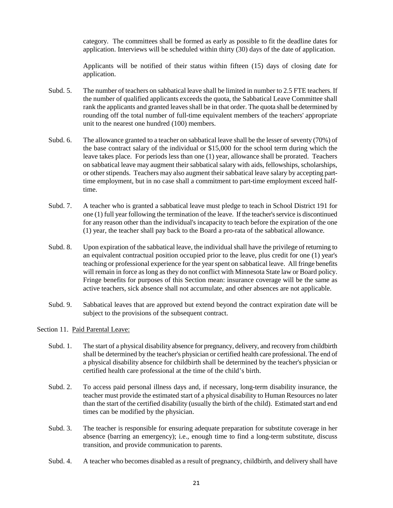category. The committees shall be formed as early as possible to fit the deadline dates for application. Interviews will be scheduled within thirty (30) days of the date of application.

Applicants will be notified of their status within fifteen (15) days of closing date for application.

- Subd. 5. The number of teachers on sabbatical leave shall be limited in number to 2.5 FTE teachers. If the number of qualified applicants exceeds the quota, the Sabbatical Leave Committee shall rank the applicants and granted leaves shall be in that order. The quota shall be determined by rounding off the total number of full-time equivalent members of the teachers' appropriate unit to the nearest one hundred (100) members.
- Subd. 6. The allowance granted to a teacher on sabbatical leave shall be the lesser of seventy (70%) of the base contract salary of the individual or \$15,000 for the school term during which the leave takes place. For periods less than one (1) year, allowance shall be prorated. Teachers on sabbatical leave may augment their sabbatical salary with aids, fellowships, scholarships, or other stipends. Teachers may also augment their sabbatical leave salary by accepting parttime employment, but in no case shall a commitment to part-time employment exceed halftime.
- Subd. 7. A teacher who is granted a sabbatical leave must pledge to teach in School District 191 for one (1) full year following the termination of the leave. If the teacher's service is discontinued for any reason other than the individual's incapacity to teach before the expiration of the one (1) year, the teacher shall pay back to the Board a pro-rata of the sabbatical allowance.
- Subd. 8. Upon expiration of the sabbatical leave, the individual shall have the privilege of returning to an equivalent contractual position occupied prior to the leave, plus credit for one (1) year's teaching or professional experience for the year spent on sabbatical leave. All fringe benefits will remain in force as long as they do not conflict with Minnesota State law or Board policy. Fringe benefits for purposes of this Section mean: insurance coverage will be the same as active teachers, sick absence shall not accumulate, and other absences are not applicable.
- Subd. 9. Sabbatical leaves that are approved but extend beyond the contract expiration date will be subject to the provisions of the subsequent contract.
- Section 11. Paid Parental Leave:
	- Subd. 1. The start of a physical disability absence for pregnancy, delivery, and recovery from childbirth shall be determined by the teacher's physician or certified health care professional. The end of a physical disability absence for childbirth shall be determined by the teacher's physician or certified health care professional at the time of the child's birth.
	- Subd. 2. To access paid personal illness days and, if necessary, long-term disability insurance, the teacher must provide the estimated start of a physical disability to Human Resources no later than the start of the certified disability (usually the birth of the child). Estimated start and end times can be modified by the physician.
	- Subd. 3. The teacher is responsible for ensuring adequate preparation for substitute coverage in her absence (barring an emergency); i.e., enough time to find a long-term substitute, discuss transition, and provide communication to parents.
	- Subd. 4. A teacher who becomes disabled as a result of pregnancy, childbirth, and delivery shall have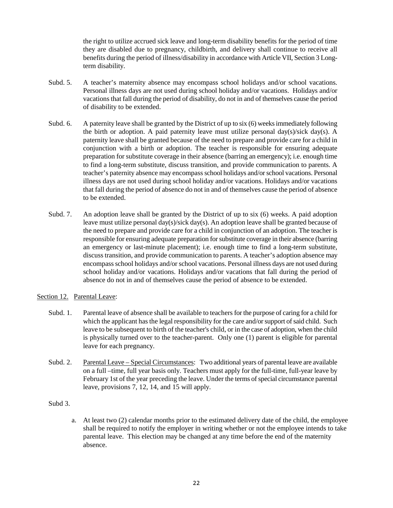the right to utilize accrued sick leave and long-term disability benefits for the period of time they are disabled due to pregnancy, childbirth, and delivery shall continue to receive all benefits during the period of illness/disability in accordance with Article VII, Section 3 Longterm disability.

- Subd. 5. A teacher's maternity absence may encompass school holidays and/or school vacations. Personal illness days are not used during school holiday and/or vacations. Holidays and/or vacations that fall during the period of disability, do not in and of themselves cause the period of disability to be extended.
- Subd. 6. A paternity leave shall be granted by the District of up to six (6) weeks immediately following the birth or adoption. A paid paternity leave must utilize personal day(s)/sick day(s). A paternity leave shall be granted because of the need to prepare and provide care for a child in conjunction with a birth or adoption. The teacher is responsible for ensuring adequate preparation for substitute coverage in their absence (barring an emergency); i.e. enough time to find a long-term substitute, discuss transition, and provide communication to parents. A teacher's paternity absence may encompass school holidays and/or school vacations. Personal illness days are not used during school holiday and/or vacations. Holidays and/or vacations that fall during the period of absence do not in and of themselves cause the period of absence to be extended.
- Subd. 7. An adoption leave shall be granted by the District of up to six (6) weeks. A paid adoption leave must utilize personal day(s)/sick day(s). An adoption leave shall be granted because of the need to prepare and provide care for a child in conjunction of an adoption. The teacher is responsible for ensuring adequate preparation for substitute coverage in their absence (barring an emergency or last-minute placement); i.e. enough time to find a long-term substitute, discuss transition, and provide communication to parents. A teacher's adoption absence may encompass school holidays and/or school vacations. Personal illness days are not used during school holiday and/or vacations. Holidays and/or vacations that fall during the period of absence do not in and of themselves cause the period of absence to be extended.

#### Section 12. Parental Leave:

- Subd. 1. Parental leave of absence shall be available to teachers for the purpose of caring for a child for which the applicant has the legal responsibility for the care and/or support of said child. Such leave to be subsequent to birth of the teacher's child, or in the case of adoption, when the child is physically turned over to the teacher-parent. Only one (1) parent is eligible for parental leave for each pregnancy.
- Subd. 2. Parental Leave Special Circumstances: Two additional years of parental leave are available on a full –time, full year basis only. Teachers must apply for the full-time, full-year leave by February 1st of the year preceding the leave. Under the terms of special circumstance parental leave, provisions 7, 12, 14, and 15 will apply.

#### Subd 3.

a. At least two (2) calendar months prior to the estimated delivery date of the child, the employee shall be required to notify the employer in writing whether or not the employee intends to take parental leave. This election may be changed at any time before the end of the maternity absence.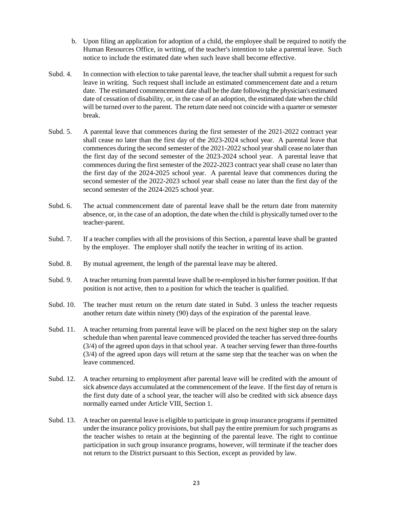- b. Upon filing an application for adoption of a child, the employee shall be required to notify the Human Resources Office, in writing, of the teacher's intention to take a parental leave. Such notice to include the estimated date when such leave shall become effective.
- Subd. 4. In connection with election to take parental leave, the teacher shall submit a request for such leave in writing. Such request shall include an estimated commencement date and a return date. The estimated commencement date shall be the date following the physician's estimated date of cessation of disability, or, in the case of an adoption, the estimated date when the child will be turned over to the parent. The return date need not coincide with a quarter or semester break.
- Subd. 5. A parental leave that commences during the first semester of the 2021-2022 contract year shall cease no later than the first day of the 2023-2024 school year. A parental leave that commences during the second semester of the 2021-2022 school year shall cease no later than the first day of the second semester of the 2023-2024 school year. A parental leave that commences during the first semester of the 2022-2023 contract year shall cease no later than the first day of the 2024-2025 school year. A parental leave that commences during the second semester of the 2022-2023 school year shall cease no later than the first day of the second semester of the 2024-2025 school year.
- Subd. 6. The actual commencement date of parental leave shall be the return date from maternity absence, or, in the case of an adoption, the date when the child is physically turned over to the teacher-parent.
- Subd. 7. If a teacher complies with all the provisions of this Section, a parental leave shall be granted by the employer. The employer shall notify the teacher in writing of its action.
- Subd. 8. By mutual agreement, the length of the parental leave may be altered.
- Subd. 9. A teacher returning from parental leave shall be re-employed in his/her former position. If that position is not active, then to a position for which the teacher is qualified.
- Subd. 10. The teacher must return on the return date stated in Subd. 3 unless the teacher requests another return date within ninety (90) days of the expiration of the parental leave.
- Subd. 11. A teacher returning from parental leave will be placed on the next higher step on the salary schedule than when parental leave commenced provided the teacher has served three-fourths (3/4) of the agreed upon days in that school year. A teacher serving fewer than three-fourths (3/4) of the agreed upon days will return at the same step that the teacher was on when the leave commenced.
- Subd. 12. A teacher returning to employment after parental leave will be credited with the amount of sick absence days accumulated at the commencement of the leave. If the first day of return is the first duty date of a school year, the teacher will also be credited with sick absence days normally earned under Article VIII, Section 1.
- Subd. 13. A teacher on parental leave is eligible to participate in group insurance programs if permitted under the insurance policy provisions, but shall pay the entire premium for such programs as the teacher wishes to retain at the beginning of the parental leave. The right to continue participation in such group insurance programs, however, will terminate if the teacher does not return to the District pursuant to this Section, except as provided by law.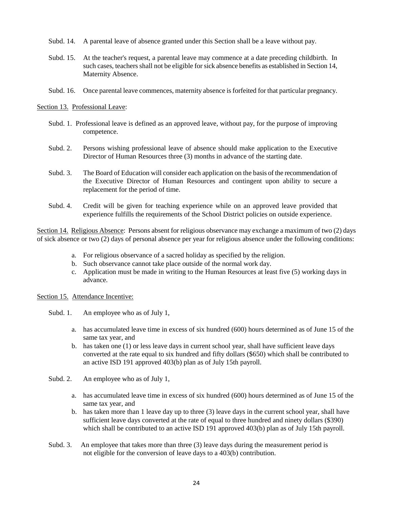- Subd. 14. A parental leave of absence granted under this Section shall be a leave without pay.
- Subd. 15. At the teacher's request, a parental leave may commence at a date preceding childbirth. In such cases, teachers shall not be eligible for sick absence benefits as established in Section 14, Maternity Absence.
- Subd. 16. Once parental leave commences, maternity absence is forfeited for that particular pregnancy.

#### Section 13. Professional Leave:

- Subd. 1. Professional leave is defined as an approved leave, without pay, for the purpose of improving competence.
- Subd. 2. Persons wishing professional leave of absence should make application to the Executive Director of Human Resources three (3) months in advance of the starting date.
- Subd. 3. The Board of Education will consider each application on the basis of the recommendation of the Executive Director of Human Resources and contingent upon ability to secure a replacement for the period of time.
- Subd. 4. Credit will be given for teaching experience while on an approved leave provided that experience fulfills the requirements of the School District policies on outside experience.

Section 14. Religious Absence: Persons absent for religious observance may exchange a maximum of two (2) days of sick absence or two (2) days of personal absence per year for religious absence under the following conditions:

- a. For religious observance of a sacred holiday as specified by the religion.
- b. Such observance cannot take place outside of the normal work day.
- c. Application must be made in writing to the Human Resources at least five (5) working days in advance.

#### Section 15. Attendance Incentive:

- Subd. 1. An employee who as of July 1,
	- a. has accumulated leave time in excess of six hundred (600) hours determined as of June 15 of the same tax year, and
	- b. has taken one (1) or less leave days in current school year, shall have sufficient leave days converted at the rate equal to six hundred and fifty dollars (\$650) which shall be contributed to an active ISD 191 approved 403(b) plan as of July 15th payroll.
- Subd. 2. An employee who as of July 1,
	- a. has accumulated leave time in excess of six hundred (600) hours determined as of June 15 of the same tax year, and
	- b. has taken more than 1 leave day up to three (3) leave days in the current school year, shall have sufficient leave days converted at the rate of equal to three hundred and ninety dollars (\$390) which shall be contributed to an active ISD 191 approved 403(b) plan as of July 15th payroll.
- Subd. 3. An employee that takes more than three (3) leave days during the measurement period is not eligible for the conversion of leave days to a 403(b) contribution.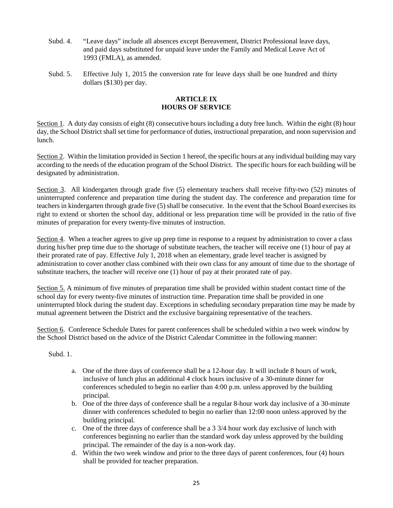- Subd. 4. "Leave days" include all absences except Bereavement, District Professional leave days, and paid days substituted for unpaid leave under the Family and Medical Leave Act of 1993 (FMLA), as amended.
- Subd. 5. Effective July 1, 2015 the conversion rate for leave days shall be one hundred and thirty dollars (\$130) per day.

#### **ARTICLE IX HOURS OF SERVICE**

Section 1. A duty day consists of eight (8) consecutive hours including a duty free lunch. Within the eight (8) hour day, the School District shall set time for performance of duties, instructional preparation, and noon supervision and lunch.

Section 2. Within the limitation provided in Section 1 hereof, the specific hours at any individual building may vary according to the needs of the education program of the School District. The specific hours for each building will be designated by administration.

Section 3. All kindergarten through grade five (5) elementary teachers shall receive fifty-two (52) minutes of uninterrupted conference and preparation time during the student day. The conference and preparation time for teachers in kindergarten through grade five (5) shall be consecutive. In the event that the School Board exercises its right to extend or shorten the school day, additional or less preparation time will be provided in the ratio of five minutes of preparation for every twenty-five minutes of instruction.

Section 4. When a teacher agrees to give up prep time in response to a request by administration to cover a class during his/her prep time due to the shortage of substitute teachers, the teacher will receive one (1) hour of pay at their prorated rate of pay. Effective July 1, 2018 when an elementary, grade level teacher is assigned by administration to cover another class combined with their own class for any amount of time due to the shortage of substitute teachers, the teacher will receive one (1) hour of pay at their prorated rate of pay.

Section 5. A minimum of five minutes of preparation time shall be provided within student contact time of the school day for every twenty-five minutes of instruction time. Preparation time shall be provided in one uninterrupted block during the student day. Exceptions in scheduling secondary preparation time may be made by mutual agreement between the District and the exclusive bargaining representative of the teachers.

Section 6. Conference Schedule Dates for parent conferences shall be scheduled within a two week window by the School District based on the advice of the District Calendar Committee in the following manner:

Subd. 1.

- a. One of the three days of conference shall be a 12-hour day. It will include 8 hours of work, inclusive of lunch plus an additional 4 clock hours inclusive of a 30-minute dinner for conferences scheduled to begin no earlier than 4:00 p.m. unless approved by the building principal.
- b. One of the three days of conference shall be a regular 8-hour work day inclusive of a 30-minute dinner with conferences scheduled to begin no earlier than 12:00 noon unless approved by the building principal.
- c. One of the three days of conference shall be a 3 3/4 hour work day exclusive of lunch with conferences beginning no earlier than the standard work day unless approved by the building principal. The remainder of the day is a non-work day.
- d. Within the two week window and prior to the three days of parent conferences, four (4) hours shall be provided for teacher preparation.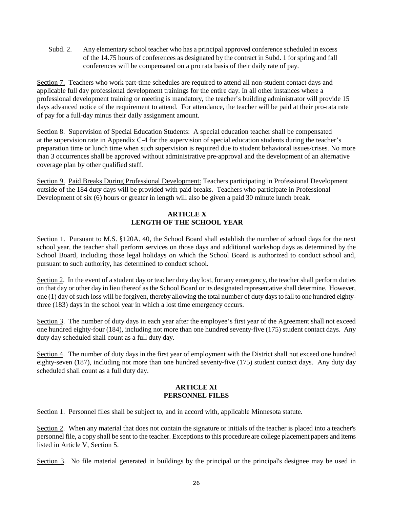Subd. 2. Any elementary school teacher who has a principal approved conference scheduled in excess of the 14.75 hours of conferences as designated by the contract in Subd. 1 for spring and fall conferences will be compensated on a pro rata basis of their daily rate of pay.

Section 7. Teachers who work part-time schedules are required to attend all non-student contact days and applicable full day professional development trainings for the entire day. In all other instances where a professional development training or meeting is mandatory, the teacher's building administrator will provide 15 days advanced notice of the requirement to attend. For attendance, the teacher will be paid at their pro-rata rate of pay for a full-day minus their daily assignment amount.

Section 8. Supervision of Special Education Students: A special education teacher shall be compensated at the supervision rate in Appendix C-4 for the supervision of special education students during the teacher's preparation time or lunch time when such supervision is required due to student behavioral issues/crises. No more than 3 occurrences shall be approved without administrative pre-approval and the development of an alternative coverage plan by other qualified staff.

Section 9. Paid Breaks During Professional Development: Teachers participating in Professional Development outside of the 184 duty days will be provided with paid breaks. Teachers who participate in Professional Development of six (6) hours or greater in length will also be given a paid 30 minute lunch break.

## **ARTICLE X LENGTH OF THE SCHOOL YEAR**

Section 1. Pursuant to M.S. §120A. 40, the School Board shall establish the number of school days for the next school year, the teacher shall perform services on those days and additional workshop days as determined by the School Board, including those legal holidays on which the School Board is authorized to conduct school and, pursuant to such authority, has determined to conduct school.

Section 2. In the event of a student day or teacher duty day lost, for any emergency, the teacher shall perform duties on that day or other day in lieu thereof as the School Board or its designated representative shall determine. However, one (1) day of such loss will be forgiven, thereby allowing the total number of duty days to fall to one hundred eightythree (183) days in the school year in which a lost time emergency occurs.

Section 3. The number of duty days in each year after the employee's first year of the Agreement shall not exceed one hundred eighty-four (184), including not more than one hundred seventy-five (175) student contact days. Any duty day scheduled shall count as a full duty day.

Section 4. The number of duty days in the first year of employment with the District shall not exceed one hundred eighty-seven (187), including not more than one hundred seventy-five (175) student contact days. Any duty day scheduled shall count as a full duty day.

#### **ARTICLE XI PERSONNEL FILES**

Section 1. Personnel files shall be subject to, and in accord with, applicable Minnesota statute.

Section 2. When any material that does not contain the signature or initials of the teacher is placed into a teacher's personnel file, a copy shall be sent to the teacher. Exceptions to this procedure are college placement papers and items listed in Article V, Section 5.

Section 3. No file material generated in buildings by the principal or the principal's designee may be used in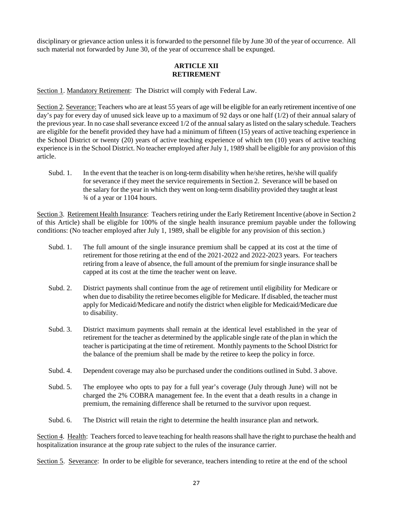disciplinary or grievance action unless it is forwarded to the personnel file by June 30 of the year of occurrence. All such material not forwarded by June 30, of the year of occurrence shall be expunged.

#### **ARTICLE XII RETIREMENT**

Section 1. Mandatory Retirement: The District will comply with Federal Law.

Section 2. Severance: Teachers who are at least 55 years of age will be eligible for an early retirement incentive of one day's pay for every day of unused sick leave up to a maximum of 92 days or one half (1/2) of their annual salary of the previous year. In no case shall severance exceed 1/2 of the annual salary as listed on the salary schedule. Teachers are eligible for the benefit provided they have had a minimum of fifteen (15) years of active teaching experience in the School District or twenty (20) years of active teaching experience of which ten (10) years of active teaching experience is in the School District. No teacher employed after July 1, 1989 shall be eligible for any provision of this article.

Subd. 1. In the event that the teacher is on long-term disability when he/she retires, he/she will qualify for severance if they meet the service requirements in Section 2. Severance will be based on the salary for the year in which they went on long-term disability provided they taught at least ¾ of a year or 1104 hours.

Section 3. Retirement Health Insurance: Teachers retiring under the Early Retirement Incentive (above in Section 2 of this Article) shall be eligible for 100% of the single health insurance premium payable under the following conditions: (No teacher employed after July 1, 1989, shall be eligible for any provision of this section.)

- Subd. 1. The full amount of the single insurance premium shall be capped at its cost at the time of retirement for those retiring at the end of the 2021-2022 and 2022-2023 years. For teachers retiring from a leave of absence, the full amount of the premium for single insurance shall be capped at its cost at the time the teacher went on leave.
- Subd. 2. District payments shall continue from the age of retirement until eligibility for Medicare or when due to disability the retiree becomes eligible for Medicare. If disabled, the teacher must apply for Medicaid/Medicare and notify the district when eligible for Medicaid/Medicare due to disability.
- Subd. 3. District maximum payments shall remain at the identical level established in the year of retirement for the teacher as determined by the applicable single rate of the plan in which the teacher is participating at the time of retirement. Monthly payments to the School District for the balance of the premium shall be made by the retiree to keep the policy in force.
- Subd. 4. Dependent coverage may also be purchased under the conditions outlined in Subd. 3 above.
- Subd. 5. The employee who opts to pay for a full year's coverage (July through June) will not be charged the 2% COBRA management fee. In the event that a death results in a change in premium, the remaining difference shall be returned to the survivor upon request.
- Subd. 6. The District will retain the right to determine the health insurance plan and network.

Section 4. Health: Teachers forced to leave teaching for health reasons shall have the right to purchase the health and hospitalization insurance at the group rate subject to the rules of the insurance carrier.

Section 5. Severance: In order to be eligible for severance, teachers intending to retire at the end of the school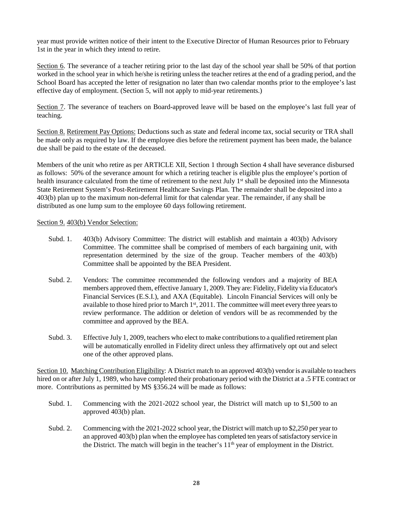year must provide written notice of their intent to the Executive Director of Human Resources prior to February 1st in the year in which they intend to retire.

Section 6. The severance of a teacher retiring prior to the last day of the school year shall be 50% of that portion worked in the school year in which he/she is retiring unless the teacher retires at the end of a grading period, and the School Board has accepted the letter of resignation no later than two calendar months prior to the employee's last effective day of employment. (Section 5, will not apply to mid-year retirements.)

Section 7. The severance of teachers on Board-approved leave will be based on the employee's last full year of teaching.

Section 8. Retirement Pay Options: Deductions such as state and federal income tax, social security or TRA shall be made only as required by law. If the employee dies before the retirement payment has been made, the balance due shall be paid to the estate of the deceased.

Members of the unit who retire as per ARTICLE XII, Section 1 through Section 4 shall have severance disbursed as follows: 50% of the severance amount for which a retiring teacher is eligible plus the employee's portion of health insurance calculated from the time of retirement to the next July 1<sup>st</sup> shall be deposited into the Minnesota State Retirement System's Post-Retirement Healthcare Savings Plan. The remainder shall be deposited into a 403(b) plan up to the maximum non-deferral limit for that calendar year. The remainder, if any shall be distributed as one lump sum to the employee 60 days following retirement.

#### Section 9. 403(b) Vendor Selection:

- Subd. 1. 403(b) Advisory Committee: The district will establish and maintain a 403(b) Advisory Committee. The committee shall be comprised of members of each bargaining unit, with representation determined by the size of the group. Teacher members of the 403(b) Committee shall be appointed by the BEA President.
- Subd. 2. Vendors: The committee recommended the following vendors and a majority of BEA members approved them, effective January 1, 2009. They are: Fidelity, Fidelity via Educator's Financial Services (E.S.I.), and AXA (Equitable). Lincoln Financial Services will only be available to those hired prior to March 1<sup>st</sup>, 2011. The committee will meet every three years to review performance. The addition or deletion of vendors will be as recommended by the committee and approved by the BEA.
- Subd. 3. Effective July 1, 2009, teachers who elect to make contributions to a qualified retirement plan will be automatically enrolled in Fidelity direct unless they affirmatively opt out and select one of the other approved plans.

Section 10. Matching Contribution Eligibility: A District match to an approved 403(b) vendor is available to teachers hired on or after July 1, 1989, who have completed their probationary period with the District at a .5 FTE contract or more. Contributions as permitted by MS §356.24 will be made as follows:

- Subd. 1. Commencing with the 2021-2022 school year, the District will match up to \$1,500 to an approved 403(b) plan.
- Subd. 2. Commencing with the 2021-2022 school year, the District will match up to \$2,250 per year to an approved 403(b) plan when the employee has completed ten years of satisfactory service in the District. The match will begin in the teacher's 11<sup>th</sup> year of employment in the District.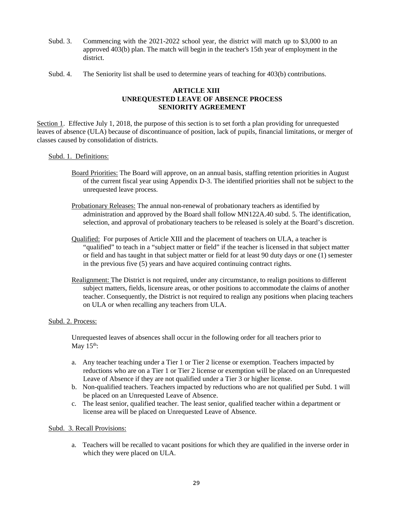- Subd. 3. Commencing with the 2021-2022 school year, the district will match up to \$3,000 to an approved 403(b) plan. The match will begin in the teacher's 15th year of employment in the district.
- Subd. 4. The Seniority list shall be used to determine years of teaching for 403(b) contributions.

#### **ARTICLE XIII UNREQUESTED LEAVE OF ABSENCE PROCESS SENIORITY AGREEMENT**

Section 1. Effective July 1, 2018, the purpose of this section is to set forth a plan providing for unrequested leaves of absence (ULA) because of discontinuance of position, lack of pupils, financial limitations, or merger of classes caused by consolidation of districts.

#### Subd. 1. Definitions:

- Board Priorities: The Board will approve, on an annual basis, staffing retention priorities in August of the current fiscal year using Appendix D-3. The identified priorities shall not be subject to the unrequested leave process.
- Probationary Releases: The annual non-renewal of probationary teachers as identified by administration and approved by the Board shall follow MN122A.40 subd. 5. The identification, selection, and approval of probationary teachers to be released is solely at the Board's discretion.
- Qualified: For purposes of Article XIII and the placement of teachers on ULA, a teacher is "qualified" to teach in a "subject matter or field" if the teacher is licensed in that subject matter or field and has taught in that subject matter or field for at least 90 duty days or one (1) semester in the previous five (5) years and have acquired continuing contract rights.
- Realignment: The District is not required, under any circumstance, to realign positions to different subject matters, fields, licensure areas, or other positions to accommodate the claims of another teacher. Consequently, the District is not required to realign any positions when placing teachers on ULA or when recalling any teachers from ULA.

#### Subd. 2. Process:

Unrequested leaves of absences shall occur in the following order for all teachers prior to May  $15<sup>th</sup>$ :

- a. Any teacher teaching under a Tier 1 or Tier 2 license or exemption. Teachers impacted by reductions who are on a Tier 1 or Tier 2 license or exemption will be placed on an Unrequested Leave of Absence if they are not qualified under a Tier 3 or higher license.
- b. Non-qualified teachers. Teachers impacted by reductions who are not qualified per Subd. 1 will be placed on an Unrequested Leave of Absence.
- c. The least senior, qualified teacher. The least senior, qualified teacher within a department or license area will be placed on Unrequested Leave of Absence.

#### Subd. 3. Recall Provisions:

a. Teachers will be recalled to vacant positions for which they are qualified in the inverse order in which they were placed on ULA.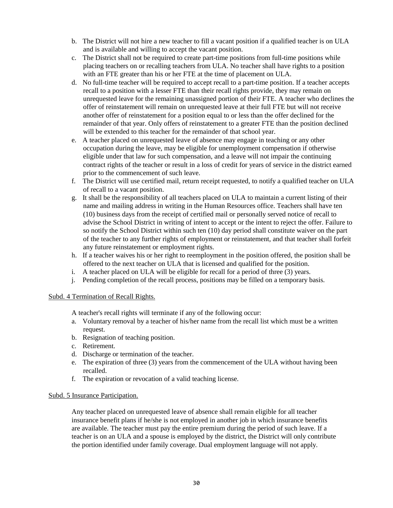- b. The District will not hire a new teacher to fill a vacant position if a qualified teacher is on ULA and is available and willing to accept the vacant position.
- c. The District shall not be required to create part-time positions from full-time positions while placing teachers on or recalling teachers from ULA. No teacher shall have rights to a position with an FTE greater than his or her FTE at the time of placement on ULA.
- d. No full-time teacher will be required to accept recall to a part-time position. If a teacher accepts recall to a position with a lesser FTE than their recall rights provide, they may remain on unrequested leave for the remaining unassigned portion of their FTE. A teacher who declines the offer of reinstatement will remain on unrequested leave at their full FTE but will not receive another offer of reinstatement for a position equal to or less than the offer declined for the remainder of that year. Only offers of reinstatement to a greater FTE than the position declined will be extended to this teacher for the remainder of that school year.
- e. A teacher placed on unrequested leave of absence may engage in teaching or any other occupation during the leave, may be eligible for unemployment compensation if otherwise eligible under that law for such compensation, and a leave will not impair the continuing contract rights of the teacher or result in a loss of credit for years of service in the district earned prior to the commencement of such leave.
- f. The District will use certified mail, return receipt requested, to notify a qualified teacher on ULA of recall to a vacant position.
- g. It shall be the responsibility of all teachers placed on ULA to maintain a current listing of their name and mailing address in writing in the Human Resources office. Teachers shall have ten (10) business days from the receipt of certified mail or personally served notice of recall to advise the School District in writing of intent to accept or the intent to reject the offer. Failure to so notify the School District within such ten (10) day period shall constitute waiver on the part of the teacher to any further rights of employment or reinstatement, and that teacher shall forfeit any future reinstatement or employment rights.
- h. If a teacher waives his or her right to reemployment in the position offered, the position shall be offered to the next teacher on ULA that is licensed and qualified for the position.
- i. A teacher placed on ULA will be eligible for recall for a period of three (3) years.
- j. Pending completion of the recall process, positions may be filled on a temporary basis.

#### Subd. 4 Termination of Recall Rights.

A teacher's recall rights will terminate if any of the following occur:

- a. Voluntary removal by a teacher of his/her name from the recall list which must be a written request.
- b. Resignation of teaching position.
- c. Retirement.
- d. Discharge or termination of the teacher.
- e. The expiration of three (3) years from the commencement of the ULA without having been recalled.
- f. The expiration or revocation of a valid teaching license.

#### Subd. 5 Insurance Participation.

Any teacher placed on unrequested leave of absence shall remain eligible for all teacher insurance benefit plans if he/she is not employed in another job in which insurance benefits are available. The teacher must pay the entire premium during the period of such leave. If a teacher is on an ULA and a spouse is employed by the district, the District will only contribute the portion identified under family coverage. Dual employment language will not apply.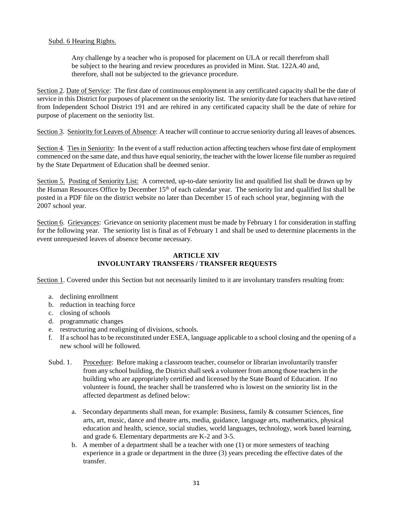#### Subd. 6 Hearing Rights.

Any challenge by a teacher who is proposed for placement on ULA or recall therefrom shall be subject to the hearing and review procedures as provided in Minn. Stat. 122A.40 and, therefore, shall not be subjected to the grievance procedure.

Section 2. Date of Service: The first date of continuous employment in any certificated capacity shall be the date of service in this District for purposes of placement on the seniority list. The seniority date for teachers that have retired from Independent School District 191 and are rehired in any certificated capacity shall be the date of rehire for purpose of placement on the seniority list.

Section 3. Seniority for Leaves of Absence: A teacher will continue to accrue seniority during all leaves of absences.

Section 4. Ties in Seniority: In the event of a staff reduction action affecting teachers whose first date of employment commenced on the same date, and thus have equal seniority, the teacher with the lower license file number as required by the State Department of Education shall be deemed senior.

Section 5. Posting of Seniority List: A corrected, up-to-date seniority list and qualified list shall be drawn up by the Human Resources Office by December 15<sup>th</sup> of each calendar year. The seniority list and qualified list shall be posted in a PDF file on the district website no later than December 15 of each school year, beginning with the 2007 school year.

Section 6. Grievances: Grievance on seniority placement must be made by February 1 for consideration in staffing for the following year. The seniority list is final as of February 1 and shall be used to determine placements in the event unrequested leaves of absence become necessary.

#### **ARTICLE XIV INVOLUNTARY TRANSFERS / TRANSFER REQUESTS**

Section 1. Covered under this Section but not necessarily limited to it are involuntary transfers resulting from:

- a. declining enrollment
- b. reduction in teaching force
- c. closing of schools
- d. programmatic changes
- e. restructuring and realigning of divisions, schools.
- f. If a school has to be reconstituted under ESEA, language applicable to a school closing and the opening of a new school will be followed.
- Subd. 1. Procedure: Before making a classroom teacher, counselor or librarian involuntarily transfer from any school building, the District shall seek a volunteer from among those teachers in the building who are appropriately certified and licensed by the State Board of Education. If no volunteer is found, the teacher shall be transferred who is lowest on the seniority list in the affected department as defined below:
	- a. Secondary departments shall mean, for example: Business, family & consumer Sciences, fine arts, art, music, dance and theatre arts, media, guidance, language arts, mathematics, physical education and health, science, social studies, world languages, technology, work based learning, and grade 6. Elementary departments are K-2 and 3-5.
	- b. A member of a department shall be a teacher with one (1) or more semesters of teaching experience in a grade or department in the three (3) years preceding the effective dates of the transfer.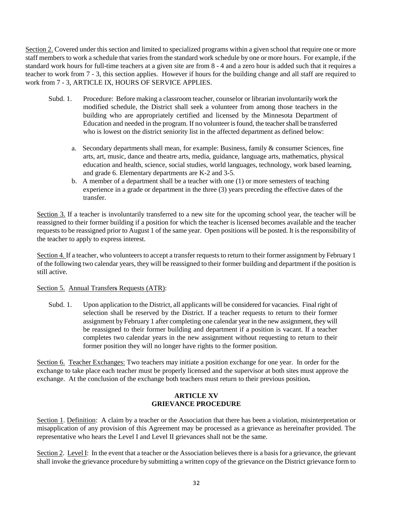Section 2. Covered under this section and limited to specialized programs within a given school that require one or more staff members to work a schedule that varies from the standard work schedule by one or more hours. For example, if the standard work hours for full-time teachers at a given site are from 8 - 4 and a zero hour is added such that it requires a teacher to work from 7 - 3, this section applies. However if hours for the building change and all staff are required to work from 7 - 3, ARTICLE IX, HOURS OF SERVICE APPLIES.

- Subd. 1. Procedure: Before making a classroom teacher, counselor or librarian involuntarily work the modified schedule, the District shall seek a volunteer from among those teachers in the building who are appropriately certified and licensed by the Minnesota Department of Education and needed in the program. If no volunteer is found, the teacher shall be transferred who is lowest on the district seniority list in the affected department as defined below:
	- a. Secondary departments shall mean, for example: Business, family & consumer Sciences, fine arts, art, music, dance and theatre arts, media, guidance, language arts, mathematics, physical education and health, science, social studies, world languages, technology, work based learning, and grade 6. Elementary departments are K-2 and 3-5.
	- b. A member of a department shall be a teacher with one (1) or more semesters of teaching experience in a grade or department in the three (3) years preceding the effective dates of the transfer.

Section 3. If a teacher is involuntarily transferred to a new site for the upcoming school year, the teacher will be reassigned to their former building if a position for which the teacher is licensed becomes available and the teacher requests to be reassigned prior to August 1 of the same year. Open positions will be posted. It is the responsibility of the teacher to apply to express interest.

Section 4. If a teacher, who volunteers to accept a transfer requests to return to their former assignment by February 1 of the following two calendar years, they will be reassigned to their former building and department if the position is still active.

#### Section 5. Annual Transfers Requests (ATR):

Subd. 1. Upon application to the District, all applicants will be considered for vacancies. Final right of selection shall be reserved by the District. If a teacher requests to return to their former assignment by February 1 after completing one calendar year in the new assignment, they will be reassigned to their former building and department if a position is vacant. If a teacher completes two calendar years in the new assignment without requesting to return to their former position they will no longer have rights to the former position.

Section 6. Teacher Exchanges: Two teachers may initiate a position exchange for one year. In order for the exchange to take place each teacher must be properly licensed and the supervisor at both sites must approve the exchange. At the conclusion of the exchange both teachers must return to their previous position**.**

#### **ARTICLE XV GRIEVANCE PROCEDURE**

Section 1. Definition: A claim by a teacher or the Association that there has been a violation, misinterpretation or misapplication of any provision of this Agreement may be processed as a grievance as hereinafter provided. The representative who hears the Level I and Level II grievances shall not be the same.

Section 2. Level I: In the event that a teacher or the Association believes there is a basis for a grievance, the grievant shall invoke the grievance procedure by submitting a written copy of the grievance on the District grievance form to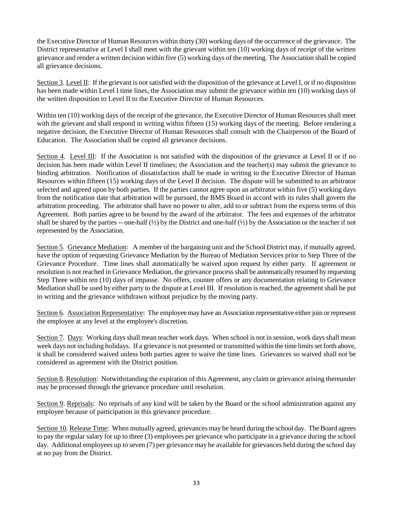the Executive Director of Human Resources within thirty (30) working days of the occurrence of the grievance. The District representative at Level I shall meet with the grievant within ten (10) working days of receipt of the written grievance and render a written decision within five (5) working days of the meeting. The Association shall be copied all grievance decisions.

Section 3. Level II: If the grievant is not satisfied with the disposition of the grievance at Level I, or if no disposition has been made within Level I time lines, the Association may submit the grievance within ten (10) working days of the written disposition to Level II to the Executive Director of Human Resources.

Within ten (10) working days of the receipt of the grievance, the Executive Director of Human Resources shall meet with the grievant and shall respond in writing within fifteen (15) working days of the meeting. Before rendering a negative decision, the Executive Director of Human Resources shall consult with the Chairperson of the Board of Education. The Association shall be copied all grievance decisions.

Section 4. Level III: If the Association is not satisfied with the disposition of the grievance at Level II or if no decision has been made within Level II timelines; the Association and the teacher(s) may submit the grievance to binding arbitration. Notification of dissatisfaction shall be made in writing to the Executive Director of Human Resources within fifteen (15) working days of the Level II decision. The dispute will be submitted to an arbitrator selected and agreed upon by both parties. If the parties cannot agree upon an arbitrator within five (5) working days from the notification date that arbitration will be pursued, the BMS Board in accord with its rules shall govern the arbitration proceeding. The arbitrator shall have no power to alter, add to or subtract from the express terms of this Agreement. Both parties agree to be bound by the award of the arbitrator. The fees and expenses of the arbitrator shall be shared by the parties -- one-half  $(\frac{1}{2})$  by the District and one-half  $(\frac{1}{2})$  by the Association or the teacher if not represented by the Association.

Section 5. Grievance Mediation: A member of the bargaining unit and the School District may, if mutually agreed, have the option of requesting Grievance Mediation by the Bureau of Mediation Services prior to Step Three of the Grievance Procedure. Time lines shall automatically be waived upon request by either party. If agreement or resolution is not reached in Grievance Mediation, the grievance process shall be automatically resumed by requesting Step Three within ten (10) days of impasse. No offers, counter offers or any documentation relating to Grievance Mediation shall be used by either party to the dispute at Level III. If resolution is reached, the agreement shall be put in writing and the grievance withdrawn without prejudice by the moving party.

Section 6. Association Representative: The employee may have an Association representative either join or represent the employee at any level at the employee's discretion.

Section 7. Days: Working days shall mean teacher work days. When school is not in session, work days shall mean week days not including holidays. If a grievance is not presented or transmitted within the time limits set forth above, it shall be considered waived unless both parties agree to waive the time lines. Grievances so waived shall not be considered as agreement with the District position.

Section 8. Resolution: Notwithstanding the expiration of this Agreement, any claim or grievance arising thereunder may be processed through the grievance procedure until resolution.

Section 9. Reprisals: No reprisals of any kind will be taken by the Board or the school administration against any employee because of participation in this grievance procedure.

Section 10. Release Time: When mutually agreed, grievances may be heard during the school day. The Board agrees to pay the regular salary for up to three (3) employees per grievance who participate in a grievance during the school day. Additional employees up to seven (7) per grievance may be available for grievances held during the school day at no pay from the District.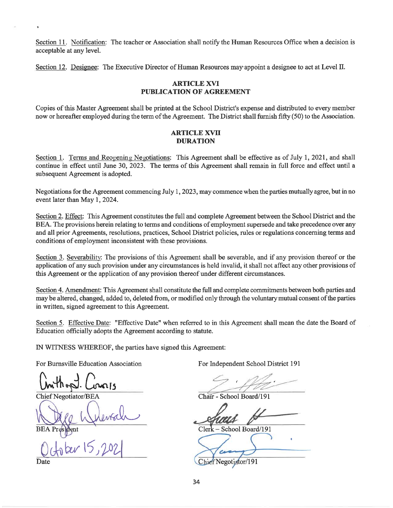Section 11. Notification: The teacher or Association shall notify the Human Resources Office when a decision is acceptable at any level.

Section 12. Designee: The Executive Director of Human Resources may appoint a designee to act at Level II.

#### **ARTICLE XVI PUBLICATION OF AGREEMENT**

Copies of this Master Agreement shall be printed at the School District's expense and distributed to every member now or hereafter employed during the term of the Agreement. The District shall furnish fifty (50) to the Association.

#### **ARTICLE XVII DURATION**

Section 1. Terms and Reopening Negotiations: This Agreement shall be effective as of July 1, 2021, and shall continue in effect until June 30, 2023. The terms of this Agreement shall remain in full force and effect until a subsequent Agreement is adopted.

Negotiations for the Agreement commencing July 1, 2023, may commence when the parties mutually agree, but in no event later than May 1, 2024.

Section 2. Effect: This Agreement constitutes the full and complete Agreement between the School District and the BEA. The provisions herein relating to terms and conditions of employment supersede and take precedence over any and all prior Agreements, resolutions, practices, School District policies, rules or regulations concerning terms and conditions of employment inconsistent with these provisions.

Section 3. Severability: The provisions of this Agreement shall be severable, and if any provision thereof or the application of any such provision under any circumstances is held invalid, it shall not affect any other provisions of this Agreement or the application of any provision thereof under different circumstances.

Section 4. Amendment: This Agreement shall constitute the full and complete commitments between both parties and may be altered, changed, added to, deleted from, or modified only through the voluntary mutual consent of the parties in written, signed agreement to this Agreement.

Section 5. Effective Date: "Effective Date" when referred to in this Agreement shall mean the date the Board of Education officially adopts the Agreement according to statute.

IN WITNESS WHEREOF, the parties have signed this Agreement:

For Burnsville Education Association

**Chief Negotiator/BEA** 

Date

For Independent School District 191

Chair - School Board/191

Clerk - School Board/191

Negotiator/191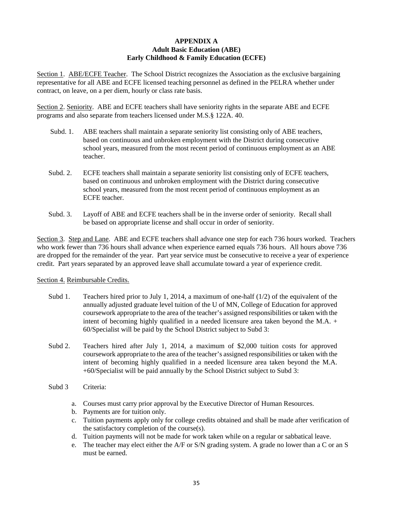#### **APPENDIX A Adult Basic Education (ABE) Early Childhood & Family Education (ECFE)**

Section 1. ABE/ECFE Teacher. The School District recognizes the Association as the exclusive bargaining representative for all ABE and ECFE licensed teaching personnel as defined in the PELRA whether under contract, on leave, on a per diem, hourly or class rate basis.

Section 2. Seniority. ABE and ECFE teachers shall have seniority rights in the separate ABE and ECFE programs and also separate from teachers licensed under M.S.§ 122A. 40.

- Subd. 1. ABE teachers shall maintain a separate seniority list consisting only of ABE teachers, based on continuous and unbroken employment with the District during consecutive school years, measured from the most recent period of continuous employment as an ABE teacher.
- Subd. 2. ECFE teachers shall maintain a separate seniority list consisting only of ECFE teachers, based on continuous and unbroken employment with the District during consecutive school years, measured from the most recent period of continuous employment as an ECFE teacher.
- Subd. 3. Layoff of ABE and ECFE teachers shall be in the inverse order of seniority. Recall shall be based on appropriate license and shall occur in order of seniority.

Section 3. Step and Lane. ABE and ECFE teachers shall advance one step for each 736 hours worked. Teachers who work fewer than 736 hours shall advance when experience earned equals 736 hours. All hours above 736 are dropped for the remainder of the year. Part year service must be consecutive to receive a year of experience credit. Part years separated by an approved leave shall accumulate toward a year of experience credit.

#### Section 4. Reimbursable Credits.

- Subd 1. Teachers hired prior to July 1, 2014, a maximum of one-half  $(1/2)$  of the equivalent of the annually adjusted graduate level tuition of the U of MN, College of Education for approved coursework appropriate to the area of the teacher's assigned responsibilities or taken with the intent of becoming highly qualified in a needed licensure area taken beyond the M.A. + 60/Specialist will be paid by the School District subject to Subd 3:
- Subd 2. Teachers hired after July 1, 2014, a maximum of \$2,000 tuition costs for approved coursework appropriate to the area of the teacher's assigned responsibilities or taken with the intent of becoming highly qualified in a needed licensure area taken beyond the M.A. +60/Specialist will be paid annually by the School District subject to Subd 3:
- Subd 3 Criteria:
	- a. Courses must carry prior approval by the Executive Director of Human Resources.
	- b. Payments are for tuition only.
	- c. Tuition payments apply only for college credits obtained and shall be made after verification of the satisfactory completion of the course(s).
	- d. Tuition payments will not be made for work taken while on a regular or sabbatical leave.
	- e. The teacher may elect either the A/F or S/N grading system. A grade no lower than a C or an S must be earned.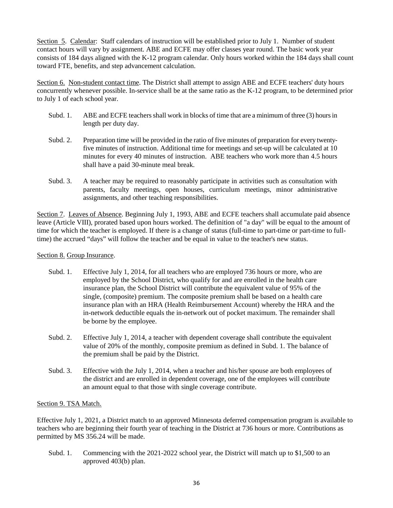Section 5. Calendar: Staff calendars of instruction will be established prior to July 1. Number of student contact hours will vary by assignment. ABE and ECFE may offer classes year round. The basic work year consists of 184 days aligned with the K-12 program calendar. Only hours worked within the 184 days shall count toward FTE, benefits, and step advancement calculation.

Section 6. Non-student contact time. The District shall attempt to assign ABE and ECFE teachers' duty hours concurrently whenever possible. In-service shall be at the same ratio as the K-12 program, to be determined prior to July 1 of each school year.

- Subd. 1. ABE and ECFE teachers shall work in blocks of time that are a minimum of three (3) hours in length per duty day.
- Subd. 2. Preparation time will be provided in the ratio of five minutes of preparation for every twentyfive minutes of instruction. Additional time for meetings and set-up will be calculated at 10 minutes for every 40 minutes of instruction. ABE teachers who work more than 4.5 hours shall have a paid 30-minute meal break.
- Subd. 3. A teacher may be required to reasonably participate in activities such as consultation with parents, faculty meetings, open houses, curriculum meetings, minor administrative assignments, and other teaching responsibilities.

Section 7. Leaves of Absence. Beginning July 1, 1993, ABE and ECFE teachers shall accumulate paid absence leave (Article VIII), prorated based upon hours worked. The definition of "a day" will be equal to the amount of time for which the teacher is employed. If there is a change of status (full-time to part-time or part-time to fulltime) the accrued "days" will follow the teacher and be equal in value to the teacher's new status.

#### Section 8. Group Insurance.

- Subd. 1. Effective July 1, 2014, for all teachers who are employed 736 hours or more, who are employed by the School District, who qualify for and are enrolled in the health care insurance plan, the School District will contribute the equivalent value of 95% of the single, (composite) premium. The composite premium shall be based on a health care insurance plan with an HRA (Health Reimbursement Account) whereby the HRA and the in-network deductible equals the in-network out of pocket maximum. The remainder shall be borne by the employee.
- Subd. 2. Effective July 1, 2014, a teacher with dependent coverage shall contribute the equivalent value of 20% of the monthly, composite premium as defined in Subd. 1. The balance of the premium shall be paid by the District.
- Subd. 3. Effective with the July 1, 2014, when a teacher and his/her spouse are both employees of the district and are enrolled in dependent coverage, one of the employees will contribute an amount equal to that those with single coverage contribute.

#### Section 9. TSA Match.

Effective July 1, 2021, a District match to an approved Minnesota deferred compensation program is available to teachers who are beginning their fourth year of teaching in the District at 736 hours or more. Contributions as permitted by MS 356.24 will be made.

Subd. 1. Commencing with the 2021-2022 school year, the District will match up to \$1,500 to an approved 403(b) plan.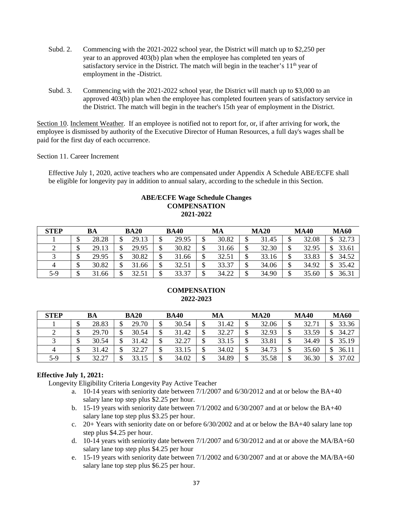- Subd. 2. Commencing with the 2021-2022 school year, the District will match up to \$2,250 per year to an approved 403(b) plan when the employee has completed ten years of satisfactory service in the District. The match will begin in the teacher's 11<sup>th</sup> year of employment in the -District.
- Subd. 3. Commencing with the 2021-2022 school year, the District will match up to \$3,000 to an approved 403(b) plan when the employee has completed fourteen years of satisfactory service in the District. The match will begin in the teacher's 15th year of employment in the District.

Section 10. Inclement Weather. If an employee is notified not to report for, or, if after arriving for work, the employee is dismissed by authority of the Executive Director of Human Resources, a full day's wages shall be paid for the first day of each occurrence.

Section 11. Career Increment

Effective July 1, 2020, active teachers who are compensated under Appendix A Schedule ABE/ECFE shall be eligible for longevity pay in addition to annual salary, according to the schedule in this Section.

#### **ABE/ECFE Wage Schedule Changes COMPENSATION 2021-2022**

| <b>STEP</b> |     | BA    |   | <b>BA20</b> |        | <b>BA40</b> |          | MA    |        | <b>MA20</b> |         | <b>MA40</b> |    | <b>MA60</b> |
|-------------|-----|-------|---|-------------|--------|-------------|----------|-------|--------|-------------|---------|-------------|----|-------------|
|             | мD  | 28.28 |   | 29.13       | ᡗ<br>Φ | 29.95       | ــە<br>Φ | 30.82 | Φ      | 31.45       |         | 32.08       | ¢  | 32.73       |
|             | мD  | 29.13 | œ | 29.95       | ¢<br>Φ | 30.82       | ึ<br>D   | 31.66 | ጥ<br>D | 32.30       | ጦ<br>◡  | 32.95       | ¢  | 33.61       |
|             | ND. | 29.95 |   | 30.82       | ¢<br>Φ | 31.66       | ึ<br>Φ   | 32.51 | ጥ<br>Φ | 33.16       | ጦ<br>۰D | 33.83       | \$ | 34.52       |
| 4           | кD  | 30.82 |   | 31.66       | ¢<br>Φ | 32.51       | Φ<br>◡   | 33.37 | ጥ<br>D | 34.06       | ጥ<br>◡  | 34.92       | ሖ  | 35.42       |
| 5-9         | ND. | 31.66 |   | 32.51       | ₼<br>◡ | 33.37       | ¢<br>◡   | 34.22 | ¢<br>Φ | 34.90       | ₼       | 35.60       | \$ | 36.31       |

#### **COMPENSATION 2022-2023**

| <b>STEP</b> |         | BA             | <b>BA20</b> |        | <b>BA40</b> |        | MA    |        | <b>MA20</b> |   | <b>MA40</b> |    | <b>MA60</b> |
|-------------|---------|----------------|-------------|--------|-------------|--------|-------|--------|-------------|---|-------------|----|-------------|
|             | ╜       | 28.83          | 29.70       |        | 30.54       | Φ<br>Φ | 31.42 |        | 32.06       | Ψ | 32.71       | ึ  | 33.36       |
|             | ◐<br>D  | 29.70          | 30.54       | ╜      | 31.42       | ึ<br>D | 32.27 | ึ<br>Φ | 32.93       | ◡ | 33.59       | \$ | 34.27       |
|             | ጥ<br>۰D | 30.54          | 31.42       | ₼<br>╜ | 32.27       | Φ<br>D | 33.15 | Φ<br>Φ | 33.81       | ◡ | 34.49       | Φ  | 35.19       |
|             | Φ       | 31.42          | 32.27       | ₼<br>╜ | 33.15       | \$     | 34.02 | ¢<br>D | 34.73       | Φ | 35.60       | \$ | 36.11       |
| 5-9         | ¢<br>D  | 32.27<br>ے . ب | 33.15       |        | 34.02       | ¢      | 34.89 | ¢      | 35.58       |   | 36.30       | Φ  | 37.02       |

#### **Effective July 1, 2021:**

Longevity Eligibility Criteria Longevity Pay Active Teacher

- a. 10-14 years with seniority date between 7/1/2007 and 6/30/2012 and at or below the BA+40 salary lane top step plus \$2.25 per hour.
- b. 15-19 years with seniority date between 7/1/2002 and 6/30/2007 and at or below the BA+40 salary lane top step plus \$3.25 per hour.
- c. 20+ Years with seniority date on or before 6/30/2002 and at or below the BA+40 salary lane top step plus \$4.25 per hour.
- d. 10-14 years with seniority date between 7/1/2007 and 6/30/2012 and at or above the MA/BA+60 salary lane top step plus \$4.25 per hour
- e. 15-19 years with seniority date between 7/1/2002 and 6/30/2007 and at or above the MA/BA+60 salary lane top step plus \$6.25 per hour.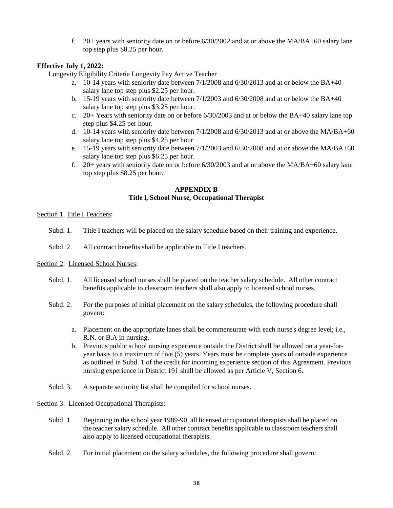f. 20+ years with seniority date on or before 6/30/2002 and at or above the MA/BA+60 salary lane top step plus \$8.25 per hour.

#### **Effective July 1, 2022:**

Longevity Eligibility Criteria Longevity Pay Active Teacher

- a. 10-14 years with seniority date between 7/1/2008 and 6/30/2013 and at or below the BA+40 salary lane top step plus \$2.25 per hour.
- b. 15-19 years with seniority date between 7/1/2003 and 6/30/2008 and at or below the BA+40 salary lane top step plus \$3.25 per hour.
- c. 20+ Years with seniority date on or before 6/30/2003 and at or below the BA+40 salary lane top step plus \$4.25 per hour.
- d. 10-14 years with seniority date between 7/1/2008 and 6/30/2013 and at or above the MA/BA+60 salary lane top step plus \$4.25 per hour
- e. 15-19 years with seniority date between 7/1/2003 and 6/30/2008 and at or above the MA/BA+60 salary lane top step plus \$6.25 per hour.
- f. 20+ years with seniority date on or before 6/30/2003 and at or above the MA/BA+60 salary lane top step plus \$8.25 per hour.

#### **APPENDIX B Title l, School Nurse, Occupational Therapist**

#### Section 1. Title I Teachers:

- Subd. 1. Title I teachers will be placed on the salary schedule based on their training and experience.
- Subd. 2. All contract benefits shall be applicable to Title I teachers.

#### Section 2. Licensed School Nurses:

- Subd. 1. All licensed school nurses shall be placed on the teacher salary schedule. All other contract benefits applicable to classroom teachers shall also apply to licensed school nurses.
- Subd. 2. For the purposes of initial placement on the salary schedules, the following procedure shall govern:
	- a. Placement on the appropriate lanes shall be commensurate with each nurse's degree level; i.e., R.N. or B.A in nursing.
	- b. Previous public school nursing experience outside the District shall be allowed on a year-foryear basis to a maximum of five (5) years. Years must be complete years of outside experience as outlined in Subd. 1 of the credit for incoming experience section of this Agreement. Previous nursing experience in District 191 shall be allowed as per Article V, Section 6.
- Subd. 3. A separate seniority list shall be compiled for school nurses.

#### Section 3. Licensed Occupational Therapists:

- Subd. 1. Beginning in the school year 1989-90, all licensed occupational therapists shall be placed on the teacher salary schedule. All other contract benefits applicable to classroom teachers shall also apply to licensed occupational therapists.
- Subd. 2. For initial placement on the salary schedules, the following procedure shall govern: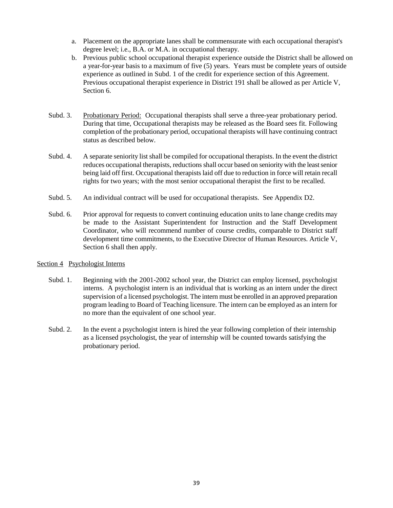- a. Placement on the appropriate lanes shall be commensurate with each occupational therapist's degree level; i.e., B.A. or M.A. in occupational therapy.
- b. Previous public school occupational therapist experience outside the District shall be allowed on a year-for-year basis to a maximum of five (5) years. Years must be complete years of outside experience as outlined in Subd. 1 of the credit for experience section of this Agreement. Previous occupational therapist experience in District 191 shall be allowed as per Article V, Section 6.
- Subd. 3. Probationary Period: Occupational therapists shall serve a three-year probationary period. During that time, Occupational therapists may be released as the Board sees fit. Following completion of the probationary period, occupational therapists will have continuing contract status as described below.
- Subd. 4. A separate seniority list shall be compiled for occupational therapists. In the event the district reduces occupational therapists, reductions shall occur based on seniority with the least senior being laid off first. Occupational therapists laid off due to reduction in force will retain recall rights for two years; with the most senior occupational therapist the first to be recalled.
- Subd. 5. An individual contract will be used for occupational therapists. See Appendix D2.
- Subd. 6. Prior approval for requests to convert continuing education units to lane change credits may be made to the Assistant Superintendent for Instruction and the Staff Development Coordinator, who will recommend number of course credits, comparable to District staff development time commitments, to the Executive Director of Human Resources. Article V, Section 6 shall then apply.

#### Section 4 Psychologist Interns

- Subd. 1. Beginning with the 2001-2002 school year, the District can employ licensed, psychologist interns. A psychologist intern is an individual that is working as an intern under the direct supervision of a licensed psychologist. The intern must be enrolled in an approved preparation program leading to Board of Teaching licensure. The intern can be employed as an intern for no more than the equivalent of one school year.
- Subd. 2. In the event a psychologist intern is hired the year following completion of their internship as a licensed psychologist, the year of internship will be counted towards satisfying the probationary period.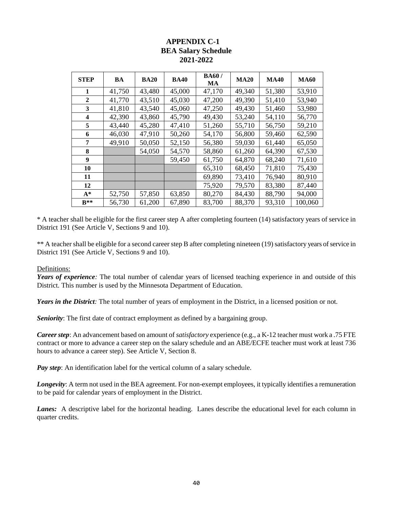#### **APPENDIX C-1 BEA Salary Schedule 2021-2022**

| <b>STEP</b>             | BA     | <b>BA20</b> | <b>BA40</b> | <b>BA60/</b><br>MA | <b>MA20</b> | <b>MA40</b> | <b>MA60</b> |
|-------------------------|--------|-------------|-------------|--------------------|-------------|-------------|-------------|
| 1                       | 41,750 | 43,480      | 45,000      | 47,170             | 49,340      | 51,380      | 53,910      |
| $\mathbf{2}$            | 41,770 | 43,510      | 45,030      | 47,200             | 49,390      | 51,410      | 53,940      |
| 3                       | 41,810 | 43,540      | 45,060      | 47,250             | 49,430      | 51,460      | 53,980      |
| $\overline{\mathbf{4}}$ | 42,390 | 43,860      | 45,790      | 49,430             | 53,240      | 54,110      | 56,770      |
| 5                       | 43,440 | 45,280      | 47,410      | 51,260             | 55,710      | 56,750      | 59,210      |
| 6                       | 46,030 | 47,910      | 50,260      | 54,170             | 56,800      | 59,460      | 62,590      |
| 7                       | 49,910 | 50,050      | 52,150      | 56,380             | 59,030      | 61,440      | 65,050      |
| 8                       |        | 54,050      | 54,570      | 58,860             | 61,260      | 64,390      | 67,530      |
| 9                       |        |             | 59,450      | 61,750             | 64,870      | 68,240      | 71,610      |
| 10                      |        |             |             | 65,310             | 68,450      | 71,810      | 75,430      |
| 11                      |        |             |             | 69,890             | 73,410      | 76,940      | 80,910      |
| 12                      |        |             |             | 75,920             | 79,570      | 83,380      | 87,440      |
| $A^*$                   | 52,750 | 57,850      | 63,850      | 80,270             | 84,430      | 88,790      | 94,000      |
| $R**$                   | 56,730 | 61,200      | 67,890      | 83,700             | 88,370      | 93,310      | 100,060     |

\* A teacher shall be eligible for the first career step A after completing fourteen (14) satisfactory years of service in District 191 (See Article V, Sections 9 and 10).

\*\* A teacher shall be eligible for a second career step B after completing nineteen (19) satisfactory years of service in District 191 (See Article V, Sections 9 and 10).

#### Definitions:

*Years of experience:* The total number of calendar years of licensed teaching experience in and outside of this District. This number is used by the Minnesota Department of Education.

*Years in the District:* The total number of years of employment in the District, in a licensed position or not.

*Seniority*: The first date of contract employment as defined by a bargaining group.

*Career step*: An advancement based on amount of *satisfactory* experience (e.g., a K-12 teacher must work a .75 FTE contract or more to advance a career step on the salary schedule and an ABE/ECFE teacher must work at least 736 hours to advance a career step). See Article V, Section 8.

*Pay step*: An identification label for the vertical column of a salary schedule.

*Longevity*: A term not used in the BEA agreement. For non-exempt employees, it typically identifies a remuneration to be paid for calendar years of employment in the District.

Lanes: A descriptive label for the horizontal heading. Lanes describe the educational level for each column in quarter credits.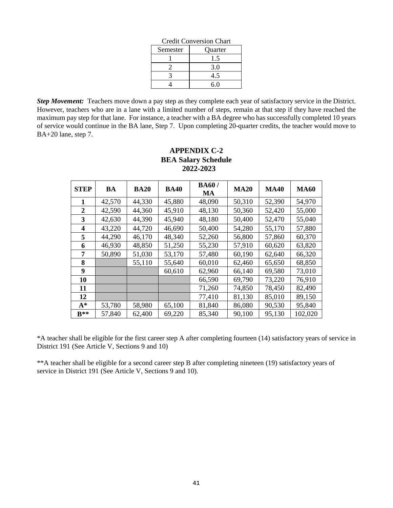|          | Стеан Сонустярн Спан |
|----------|----------------------|
| Semester | Quarter              |
|          | .5                   |
|          | 3.0                  |
|          | 4.5                  |
|          | 6.0                  |

Credit Conversion Chart

*Step Movement:* Teachers move down a pay step as they complete each year of satisfactory service in the District. However, teachers who are in a lane with a limited number of steps, remain at that step if they have reached the maximum pay step for that lane. For instance, a teacher with a BA degree who has successfully completed 10 years of service would continue in the BA lane, Step 7. Upon completing 20-quarter credits, the teacher would move to BA+20 lane, step 7.

| <b>STEP</b>    | BA     | <b>BA20</b> | <b>BA40</b> | <b>BA60/</b><br><b>MA</b> | <b>MA20</b> | <b>MA40</b> | <b>MA60</b> |
|----------------|--------|-------------|-------------|---------------------------|-------------|-------------|-------------|
| 1              | 42,570 | 44,330      | 45,880      | 48,090                    | 50,310      | 52,390      | 54,970      |
| $\overline{2}$ | 42,590 | 44,360      | 45,910      | 48,130                    | 50,360      | 52,420      | 55,000      |
| 3              | 42,630 | 44,390      | 45,940      | 48,180                    | 50,400      | 52,470      | 55,040      |
| 4              | 43,220 | 44,720      | 46,690      | 50,400                    | 54,280      | 55,170      | 57,880      |
| 5              | 44,290 | 46,170      | 48,340      | 52,260                    | 56,800      | 57,860      | 60,370      |
| 6              | 46,930 | 48,850      | 51,250      | 55,230                    | 57,910      | 60,620      | 63,820      |
| 7              | 50,890 | 51,030      | 53,170      | 57,480                    | 60,190      | 62,640      | 66,320      |
| 8              |        | 55,110      | 55,640      | 60,010                    | 62,460      | 65,650      | 68,850      |
| 9              |        |             | 60,610      | 62,960                    | 66,140      | 69,580      | 73,010      |
| 10             |        |             |             | 66,590                    | 69,790      | 73,220      | 76,910      |
| 11             |        |             |             | 71,260                    | 74,850      | 78,450      | 82,490      |
| 12             |        |             |             | 77,410                    | 81,130      | 85,010      | 89,150      |
| $A^*$          | 53,780 | 58,980      | 65,100      | 81,840                    | 86,080      | 90,530      | 95,840      |
| $R**$          | 57,840 | 62,400      | 69,220      | 85,340                    | 90,100      | 95,130      | 102,020     |

## **APPENDIX C-2 BEA Salary Schedule 2022-2023**

\*A teacher shall be eligible for the first career step A after completing fourteen (14) satisfactory years of service in District 191 (See Article V, Sections 9 and 10)

\*\*A teacher shall be eligible for a second career step B after completing nineteen (19) satisfactory years of service in District 191 (See Article V, Sections 9 and 10).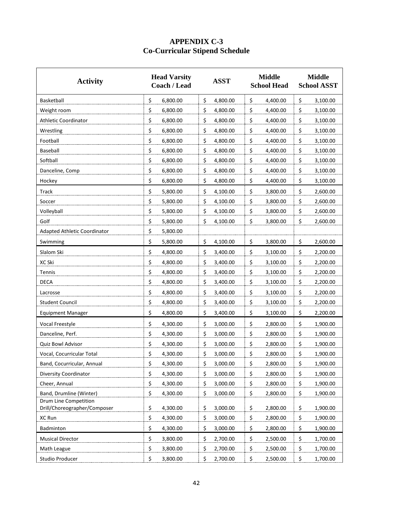## **APPENDIX C-3 Co-Curricular Stipend Schedule**

| <b>Activity</b>              | <b>Head Varsity</b><br><b>Coach / Lead</b> | <b>ASST</b> | <b>Middle</b><br><b>School Head</b> | <b>Middle</b><br><b>School ASST</b> |
|------------------------------|--------------------------------------------|-------------|-------------------------------------|-------------------------------------|
| Basketball                   | \$                                         | \$          | \$                                  | \$                                  |
|                              | 6,800.00                                   | 4,800.00    | 4,400.00                            | 3,100.00                            |
| Weight room                  | \$                                         | \$          | \$                                  | \$                                  |
|                              | 6,800.00                                   | 4,800.00    | 4,400.00                            | 3,100.00                            |
| <b>Athletic Coordinator</b>  | \$                                         | \$          | \$                                  | \$                                  |
|                              | 6,800.00                                   | 4,800.00    | 4,400.00                            | 3,100.00                            |
| Wrestling                    | \$                                         | \$          | \$                                  | \$                                  |
|                              | 6,800.00                                   | 4,800.00    | 4,400.00                            | 3,100.00                            |
| Football                     | \$                                         | \$          | \$                                  | \$                                  |
|                              | 6,800.00                                   | 4,800.00    | 4,400.00                            | 3,100.00                            |
| Baseball                     | \$                                         | \$          | \$                                  | \$                                  |
|                              | 6,800.00                                   | 4,800.00    | 4,400.00                            | 3,100.00                            |
| Softball                     | \$                                         | \$          | \$                                  | \$                                  |
|                              | 6,800.00                                   | 4,800.00    | 4,400.00                            | 3,100.00                            |
| Danceline, Comp              | \$                                         | \$          | \$                                  | \$                                  |
|                              | 6,800.00                                   | 4,800.00    | 4,400.00                            | 3,100.00                            |
| Hockey                       | \$                                         | \$          | \$                                  | \$                                  |
|                              | 6,800.00                                   | 4,800.00    | 4,400.00                            | 3,100.00                            |
| Track                        | \$                                         | \$          | \$                                  | \$                                  |
|                              | 5,800.00                                   | 4,100.00    | 3,800.00                            | 2,600.00                            |
| Soccer                       | \$                                         | \$          | \$                                  | \$                                  |
|                              | 5,800.00                                   | 4,100.00    | 3,800.00                            | 2,600.00                            |
| Volleyball                   | \$                                         | \$          | \$                                  | \$                                  |
|                              | 5,800.00                                   | 4,100.00    | 3,800.00                            | 2,600.00                            |
| Golf                         | \$                                         | \$          | \$                                  | \$                                  |
|                              | 5,800.00                                   | 4,100.00    | 3,800.00                            | 2,600.00                            |
| Adapted Athletic Coordinator | \$<br>5,800.00                             |             |                                     |                                     |
| Swimming                     | \$                                         | \$          | \$                                  | \$                                  |
|                              | 5,800.00                                   | 4,100.00    | 3,800.00                            | 2,600.00                            |
| Slalom Ski                   | \$                                         | \$          | \$                                  | \$                                  |
|                              | 4,800.00                                   | 3,400.00    | 3,100.00                            | 2,200.00                            |
| XC Ski                       | \$                                         | \$          | \$                                  | \$                                  |
|                              | 4,800.00                                   | 3,400.00    | 3,100.00                            | 2,200.00                            |
| Tennis                       | \$                                         | \$          | \$                                  | \$                                  |
|                              | 4,800.00                                   | 3,400.00    | 3,100.00                            | 2,200.00                            |
| <b>DECA</b>                  | \$                                         | \$          | \$                                  | \$                                  |
|                              | 4,800.00                                   | 3,400.00    | 3,100.00                            | 2,200.00                            |
| Lacrosse                     | \$                                         | \$          | \$                                  | \$                                  |
|                              | 4,800.00                                   | 3,400.00    | 3,100.00                            | 2,200.00                            |
| <b>Student Council</b>       | \$                                         | \$          | \$                                  | \$                                  |
|                              | 4,800.00                                   | 3,400.00    | 3,100.00                            | 2,200.00                            |
| <b>Equipment Manager</b>     | \$                                         | \$          | \$                                  | \$                                  |
|                              | 4,800.00                                   | 3,400.00    | 3,100.00                            | 2,200.00                            |
| Vocal Freestyle              | \$                                         | \$          | \$                                  | \$                                  |
|                              | 4,300.00                                   | 3,000.00    | 2,800.00                            | 1,900.00                            |
| Danceline, Perf.             | \$                                         | \$          | \$                                  | \$                                  |
|                              | 4,300.00                                   | 3,000.00    | 2,800.00                            | 1,900.00                            |
| <b>Quiz Bowl Advisor</b>     | \$                                         | \$          | \$                                  | \$                                  |
|                              | 4,300.00                                   | 3,000.00    | 2,800.00                            | 1,900.00                            |
| Vocal, Cocurricular Total    | \$                                         | \$          | \$                                  | \$                                  |
|                              | 4,300.00                                   | 3,000.00    | 2,800.00                            | 1,900.00                            |
| Band, Cocurricular, Annual   | \$                                         | 3,000.00    | \$                                  | 1,900.00                            |
|                              | 4,300.00                                   | \$          | 2,800.00                            | \$                                  |
| Diversity Coordinator        | \$                                         | \$          | \$                                  | \$                                  |
|                              | 4,300.00                                   | 3,000.00    | 2,800.00                            | 1,900.00                            |
| Cheer, Annual                | \$                                         | \$          | \$                                  | \$                                  |
|                              | 4,300.00                                   | 3,000.00    | 2,800.00                            | 1,900.00                            |
| Band, Drumline (Winter)      | \$                                         | \$          | \$                                  | \$                                  |
|                              | 4,300.00                                   | 3,000.00    | 2,800.00                            | 1,900.00                            |
| Drum Line Competition        | \$                                         | \$          | \$                                  | \$                                  |
| Drill/Choreographer/Composer | 4,300.00                                   | 3,000.00    | 2,800.00                            | 1,900.00                            |
| XC Run                       | \$                                         | \$          | \$                                  | \$                                  |
|                              | 4,300.00                                   | 3,000.00    | 2,800.00                            | 1,900.00                            |
| Badminton                    | \$                                         | \$          | \$                                  | \$                                  |
|                              | 4,300.00                                   | 3,000.00    | 2,800.00                            | 1,900.00                            |
| <b>Musical Director</b>      | \$                                         | \$          | \$                                  | \$                                  |
|                              | 3,800.00                                   | 2,700.00    | 2,500.00                            | 1,700.00                            |
| Math League                  | \$                                         | \$          | \$                                  | \$                                  |
|                              | 3,800.00                                   | 2,700.00    | 2,500.00                            | 1,700.00                            |
| Studio Producer              | \$                                         | \$          | \$                                  | \$                                  |
|                              | 3,800.00                                   | 2,700.00    | 2,500.00                            | 1,700.00                            |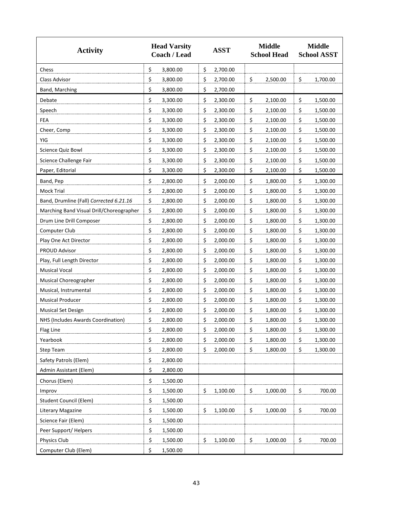| <b>Activity</b>                          | <b>Head Varsity</b><br><b>Coach / Lead</b> | <b>ASST</b>    | <b>Middle</b><br><b>School Head</b> | <b>Middle</b><br><b>School ASST</b> |
|------------------------------------------|--------------------------------------------|----------------|-------------------------------------|-------------------------------------|
| Chess                                    | \$<br>3,800.00                             | \$<br>2,700.00 |                                     |                                     |
| Class Advisor                            | \$                                         | \$             | \$                                  | \$                                  |
|                                          | 3,800.00                                   | 2,700.00       | 2,500.00                            | 1,700.00                            |
| Band, Marching                           | \$<br>3,800.00                             | \$<br>2,700.00 |                                     |                                     |
| Debate                                   | \$                                         | \$             | \$                                  | \$                                  |
|                                          | 3,300.00                                   | 2,300.00       | 2,100.00                            | 1,500.00                            |
| Speech                                   | \$                                         | \$             | \$                                  | \$                                  |
|                                          | 3,300.00                                   | 2,300.00       | 2,100.00                            | 1,500.00                            |
| FEA                                      | \$                                         | \$             | \$                                  | \$                                  |
|                                          | 3,300.00                                   | 2,300.00       | 2,100.00                            | 1,500.00                            |
| Cheer, Comp                              | \$                                         | \$             | \$                                  | \$                                  |
|                                          | 3,300.00                                   | 2,300.00       | 2,100.00                            | 1,500.00                            |
| YIG                                      | \$                                         | \$             | \$                                  | \$                                  |
|                                          | 3,300.00                                   | 2,300.00       | 2,100.00                            | 1,500.00                            |
| Science Quiz Bowl                        | \$                                         | \$             | \$                                  | \$                                  |
|                                          | 3,300.00                                   | 2,300.00       | 2,100.00                            | 1,500.00                            |
| Science Challenge Fair                   | \$                                         | \$             | \$                                  | \$                                  |
|                                          | 3,300.00                                   | 2,300.00       | 2,100.00                            | 1,500.00                            |
| Paper, Editorial                         | \$                                         | \$             | \$                                  | \$                                  |
|                                          | 3,300.00                                   | 2,300.00       | 2,100.00                            | 1,500.00                            |
| Band, Pep                                | \$                                         | \$             | \$                                  | \$                                  |
|                                          | 2,800.00                                   | 2,000.00       | 1,800.00                            | 1,300.00                            |
| Mock Trial                               | \$                                         | \$             | \$                                  | \$                                  |
|                                          | 2,800.00                                   | 2,000.00       | 1,800.00                            | 1,300.00                            |
| Band, Drumline (Fall) Corrected 6.21.16  | \$                                         | \$             | \$                                  | \$                                  |
|                                          | 2,800.00                                   | 2,000.00       | 1,800.00                            | 1,300.00                            |
| Marching Band Visual Drill/Choreographer | \$                                         | \$             | \$                                  | \$                                  |
|                                          | 2,800.00                                   | 2,000.00       | 1,800.00                            | 1,300.00                            |
| Drum Line Drill Composer                 | \$                                         | \$             | \$                                  | \$                                  |
|                                          | 2,800.00                                   | 2,000.00       | 1,800.00                            | 1,300.00                            |
| Computer Club                            | \$                                         | \$             | \$                                  | \$                                  |
|                                          | 2,800.00                                   | 2,000.00       | 1,800.00                            | 1,300.00                            |
| Play One Act Director                    | \$                                         | \$             | \$                                  | \$                                  |
|                                          | 2,800.00                                   | 2,000.00       | 1,800.00                            | 1,300.00                            |
| PROUD Advisor                            | \$                                         | \$             | \$                                  | \$                                  |
|                                          | 2,800.00                                   | 2,000.00       | 1,800.00                            | 1,300.00                            |
| Play, Full Length Director               | \$                                         | \$             | \$                                  | \$                                  |
|                                          | 2,800.00                                   | 2,000.00       | 1,800.00                            | 1,300.00                            |
| <b>Musical Vocal</b>                     | \$                                         | \$             | \$                                  | \$                                  |
|                                          | 2,800.00                                   | 2,000.00       | 1,800.00                            | 1,300.00                            |
| Musical Choreographer                    | \$                                         | \$             | \$                                  | \$                                  |
|                                          | 2,800.00                                   | 2,000.00       | 1,800.00                            | 1,300.00                            |
| Musical, Instrumental                    | \$                                         | \$             | \$                                  | \$                                  |
|                                          | 2,800.00                                   | 2,000.00       | 1,800.00                            | 1,300.00                            |
| <b>Musical Producer</b>                  | \$                                         | \$             | \$                                  | \$                                  |
|                                          | 2,800.00                                   | 2,000.00       | 1,800.00                            | 1,300.00                            |
| <b>Musical Set Design</b>                | \$                                         | \$             | \$                                  | \$                                  |
|                                          | 2,800.00                                   | 2,000.00       | 1,800.00                            | 1,300.00                            |
| NHS (Includes Awards Coordination)       | \$                                         | \$             | \$                                  | \$                                  |
|                                          | 2,800.00                                   | 2,000.00       | 1,800.00                            | 1,300.00                            |
| Flag Line                                | \$                                         | \$             | \$                                  | \$                                  |
|                                          | 2,800.00                                   | 2,000.00       | 1,800.00                            | 1,300.00                            |
| Yearbook                                 | \$                                         | \$             | \$                                  | \$                                  |
|                                          | 2,800.00                                   | 2,000.00       | 1,800.00                            | 1,300.00                            |
| Step Team                                | \$                                         | \$             | \$                                  | \$                                  |
|                                          | 2,800.00                                   | 2,000.00       | 1,800.00                            | 1,300.00                            |
| Safety Patrols (Elem)                    | \$<br>2,800.00                             |                |                                     |                                     |
| Admin Assistant (Elem)                   | \$<br>2,800.00                             |                |                                     |                                     |
| Chorus (Elem)                            | \$<br>1,500.00                             |                |                                     |                                     |
| Improv                                   | \$                                         | \$             | \$                                  | \$                                  |
|                                          | 1,500.00                                   | 1,100.00       | 1,000.00                            | 700.00                              |
| Student Council (Elem)                   | \$<br>1,500.00                             |                |                                     |                                     |
| Literary Magazine                        | \$                                         | 1,100.00       | \$                                  | \$                                  |
|                                          | 1,500.00                                   | \$             | 1,000.00                            | 700.00                              |
| Science Fair (Elem)                      | \$<br>1,500.00                             |                |                                     |                                     |
| Peer Support/Helpers                     | \$<br>1,500.00                             |                |                                     |                                     |
| Physics Club                             | \$                                         | 1,100.00       | \$                                  | \$                                  |
|                                          | 1,500.00                                   | \$             | 1,000.00                            | 700.00                              |
| Computer Club (Elem)                     | \$<br>1,500.00                             |                |                                     |                                     |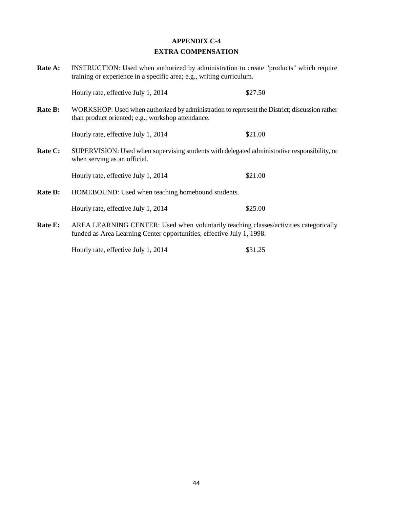## **APPENDIX C-4 EXTRA COMPENSATION**

| <b>Rate A:</b> | INSTRUCTION: Used when authorized by administration to create "products" which require<br>training or experience in a specific area; e.g., writing curriculum. |         |  |  |  |
|----------------|----------------------------------------------------------------------------------------------------------------------------------------------------------------|---------|--|--|--|
|                | Hourly rate, effective July 1, 2014                                                                                                                            | \$27.50 |  |  |  |
| <b>Rate B:</b> | WORKSHOP: Used when authorized by administration to represent the District; discussion rather<br>than product oriented; e.g., workshop attendance.             |         |  |  |  |
|                | Hourly rate, effective July 1, 2014                                                                                                                            | \$21.00 |  |  |  |
| Rate C:        | SUPERVISION: Used when supervising students with delegated administrative responsibility, or<br>when serving as an official.                                   |         |  |  |  |
|                | Hourly rate, effective July 1, 2014                                                                                                                            | \$21.00 |  |  |  |
| <b>Rate D:</b> | HOMEBOUND: Used when teaching homebound students.                                                                                                              |         |  |  |  |
|                | Hourly rate, effective July 1, 2014                                                                                                                            | \$25.00 |  |  |  |
| Rate E:        | AREA LEARNING CENTER: Used when voluntarily teaching classes/activities categorically<br>funded as Area Learning Center opportunities, effective July 1, 1998. |         |  |  |  |

Hourly rate, effective July 1, 2014 \$31.25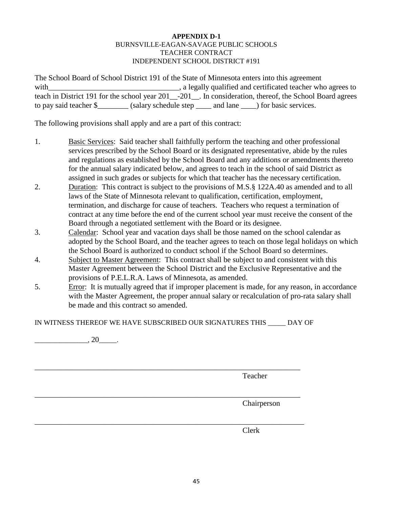#### **APPENDIX D-1** BURNSVILLE-EAGAN-SAVAGE PUBLIC SCHOOLS TEACHER CONTRACT INDEPENDENT SCHOOL DISTRICT #191

The School Board of School District 191 of the State of Minnesota enters into this agreement with\_\_\_\_\_\_\_\_\_\_\_\_\_\_\_\_\_\_\_\_\_\_\_\_\_\_\_\_\_\_\_\_\_\_, a legally qualified and certificated teacher who agrees to teach in District 191 for the school year 201<sup>--201</sup>. In consideration, thereof, the School Board agrees to pay said teacher \$\_\_\_\_\_\_\_\_ (salary schedule step \_\_\_\_ and lane \_\_\_\_) for basic services.

The following provisions shall apply and are a part of this contract:

- 1. Basic Services: Said teacher shall faithfully perform the teaching and other professional services prescribed by the School Board or its designated representative, abide by the rules and regulations as established by the School Board and any additions or amendments thereto for the annual salary indicated below, and agrees to teach in the school of said District as assigned in such grades or subjects for which that teacher has the necessary certification.
- 2. Duration: This contract is subject to the provisions of M.S. § 122A.40 as amended and to all laws of the State of Minnesota relevant to qualification, certification, employment, termination, and discharge for cause of teachers. Teachers who request a termination of contract at any time before the end of the current school year must receive the consent of the Board through a negotiated settlement with the Board or its designee.
- 3. Calendar: School year and vacation days shall be those named on the school calendar as adopted by the School Board, and the teacher agrees to teach on those legal holidays on which the School Board is authorized to conduct school if the School Board so determines.
- 4. Subject to Master Agreement: This contract shall be subject to and consistent with this Master Agreement between the School District and the Exclusive Representative and the provisions of P.E.L.R.A. Laws of Minnesota, as amended.
- 5. Error: It is mutually agreed that if improper placement is made, for any reason, in accordance with the Master Agreement, the proper annual salary or recalculation of pro-rata salary shall be made and this contract so amended.

IN WITNESS THEREOF WE HAVE SUBSCRIBED OUR SIGNATURES THIS \_\_\_\_\_ DAY OF

\_\_\_\_\_\_\_\_\_\_\_\_\_\_\_\_\_\_\_\_\_\_\_\_\_\_\_\_\_\_\_\_\_\_\_\_\_\_\_\_\_\_\_\_\_\_\_\_\_\_\_\_\_\_\_\_\_\_\_\_\_\_\_\_\_\_\_\_\_

 $\frac{1}{20}$ , 20 $\frac{1}{20}$ 

\_\_\_\_\_\_\_\_\_\_\_\_\_\_\_\_\_\_\_\_\_\_\_\_\_\_\_\_\_\_\_\_\_\_\_\_\_\_\_\_\_\_\_\_\_\_\_\_\_\_\_\_\_\_\_\_\_\_\_\_\_\_\_\_\_\_\_\_\_ Teacher

Chairperson

\_\_\_\_\_\_\_\_\_\_\_\_\_\_\_\_\_\_\_\_\_\_\_\_\_\_\_\_\_\_\_\_\_\_\_\_\_\_\_\_\_\_\_\_\_\_\_\_\_\_\_\_\_\_\_\_\_\_\_\_\_\_\_\_\_\_\_\_\_\_ Clerk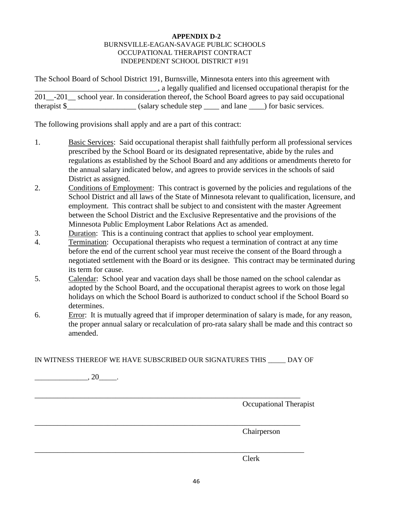#### **APPENDIX D-2** BURNSVILLE-EAGAN-SAVAGE PUBLIC SCHOOLS OCCUPATIONAL THERAPIST CONTRACT INDEPENDENT SCHOOL DISTRICT #191

The School Board of School District 191, Burnsville, Minnesota enters into this agreement with  $\Box$ , a legally qualified and licensed occupational therapist for the 201\_-201\_ school year. In consideration thereof, the School Board agrees to pay said occupational

therapist \$\_\_\_\_\_\_\_\_\_\_\_\_\_\_\_\_\_\_\_\_\_\_\_\_(salary schedule step \_\_\_\_\_\_ and lane \_\_\_\_\_) for basic services.

The following provisions shall apply and are a part of this contract:

- 1. Basic Services: Said occupational therapist shall faithfully perform all professional services prescribed by the School Board or its designated representative, abide by the rules and regulations as established by the School Board and any additions or amendments thereto for the annual salary indicated below, and agrees to provide services in the schools of said District as assigned.
- 2. Conditions of Employment: This contract is governed by the policies and regulations of the School District and all laws of the State of Minnesota relevant to qualification, licensure, and employment. This contract shall be subject to and consistent with the master Agreement between the School District and the Exclusive Representative and the provisions of the Minnesota Public Employment Labor Relations Act as amended.
- 3. Duration: This is a continuing contract that applies to school year employment.
- 4. Termination: Occupational therapists who request a termination of contract at any time before the end of the current school year must receive the consent of the Board through a negotiated settlement with the Board or its designee. This contract may be terminated during its term for cause.
- 5. Calendar: School year and vacation days shall be those named on the school calendar as adopted by the School Board, and the occupational therapist agrees to work on those legal holidays on which the School Board is authorized to conduct school if the School Board so determines.
- 6. Error: It is mutually agreed that if improper determination of salary is made, for any reason, the proper annual salary or recalculation of pro-rata salary shall be made and this contract so amended.

IN WITNESS THEREOF WE HAVE SUBSCRIBED OUR SIGNATURES THIS \_\_\_\_\_ DAY OF

 $\overline{\phantom{20}}$ , 20 $\overline{\phantom{20}}$ . \_\_\_\_\_\_\_\_\_\_\_\_\_\_\_\_\_\_\_\_\_\_\_\_\_\_\_\_\_\_\_\_\_\_\_\_\_\_\_\_\_\_\_\_\_\_\_\_\_\_\_\_\_\_\_\_\_\_\_\_\_\_\_\_\_\_\_\_\_ Occupational Therapist \_\_\_\_\_\_\_\_\_\_\_\_\_\_\_\_\_\_\_\_\_\_\_\_\_\_\_\_\_\_\_\_\_\_\_\_\_\_\_\_\_\_\_\_\_\_\_\_\_\_\_\_\_\_\_\_\_\_\_\_\_\_\_\_\_\_\_\_\_ Chairperson \_\_\_\_\_\_\_\_\_\_\_\_\_\_\_\_\_\_\_\_\_\_\_\_\_\_\_\_\_\_\_\_\_\_\_\_\_\_\_\_\_\_\_\_\_\_\_\_\_\_\_\_\_\_\_\_\_\_\_\_\_\_\_\_\_\_\_\_\_\_

Clerk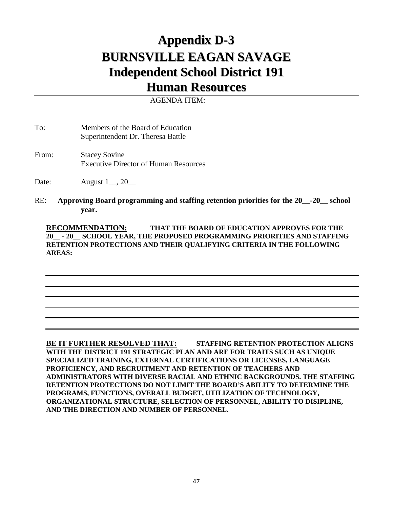# **Appendix D-3 BURNSVILLE EAGAN SAVAGE Independent School District 191**

## **Human Resources**

AGENDA ITEM:

To: Members of the Board of Education Superintendent Dr. Theresa Battle

From: Stacey Sovine Executive Director of Human Resources

Date: **August 1**, 20

RE: **Approving Board programming and staffing retention priorities for the 20\_\_-20\_\_ school year.**

**RECOMMENDATION: THAT THE BOARD OF EDUCATION APPROVES FOR THE 20\_\_ - 20\_\_ SCHOOL YEAR, THE PROPOSED PROGRAMMING PRIORITIES AND STAFFING RETENTION PROTECTIONS AND THEIR QUALIFYING CRITERIA IN THE FOLLOWING AREAS:** 

**BE IT FURTHER RESOLVED THAT: STAFFING RETENTION PROTECTION ALIGNS WITH THE DISTRICT 191 STRATEGIC PLAN AND ARE FOR TRAITS SUCH AS UNIQUE SPECIALIZED TRAINING, EXTERNAL CERTIFICATIONS OR LICENSES, LANGUAGE PROFICIENCY, AND RECRUITMENT AND RETENTION OF TEACHERS AND ADMINISTRATORS WITH DIVERSE RACIAL AND ETHNIC BACKGROUNDS. THE STAFFING RETENTION PROTECTIONS DO NOT LIMIT THE BOARD'S ABILITY TO DETERMINE THE PROGRAMS, FUNCTIONS, OVERALL BUDGET, UTILIZATION OF TECHNOLOGY, ORGANIZATIONAL STRUCTURE, SELECTION OF PERSONNEL, ABILITY TO DISIPLINE, AND THE DIRECTION AND NUMBER OF PERSONNEL.**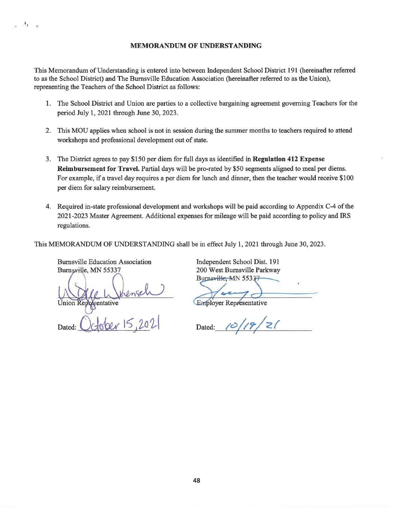This Memorandum of Understanding is entered into between Independent School District 191 (hereinafter referred to as the School District) and The Burnsville Education Association (hereinafter referred to as the Union), representing the Teachers of the School District as follows:

- 1. The School District and Union are parties to a collective bargaining agreement governing Teachers for the period July 1, 2021 through June 30, 2023.
- 2. This MOU applies when school is not in session during the summer months to teachers required to attend workshops and professional development out of state.
- 3. The District agrees to pay \$150 per diem for full days as identified in Regulation 412 Expense Reimbursement for Travel. Partial days will be pro-rated by \$50 segments aligned to meal per diems. For example, if a travel day requires a per diem for lunch and dinner, then the teacher would receive \$100 per diem for salary reimbursement.
- 4. Required in-state professional development and workshops will be paid according to Appendix C-4 of the 2021-2023 Master Agreement. Additional expenses for mileage will be paid according to policy and IRS regulations.

This MEMORANDUM OF UNDERSTANDING shall be in effect July 1, 2021 through June 30, 2023.

**Burnsville Education Association** Burnsville, MN 55337

 $Re_{\rm{10}}$ 

Union Representative

Dated

Independent School Dist. 191 200 West Burnsville Parkway Burnsville MN 55337

**Employer Representative** 

 $10/19/21$ Dated:

48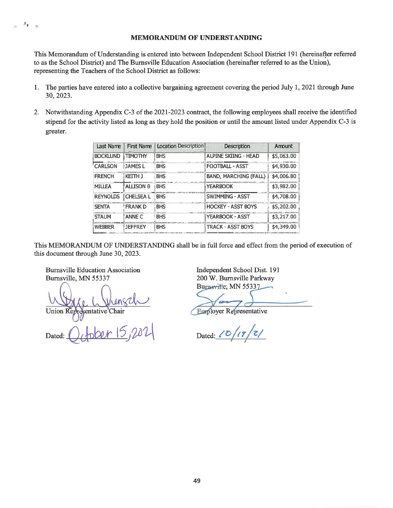This Memorandum of Understanding is entered into between Independent School District 191 (hereinafter referred to as the School District) and The Burnsville Education Association (hereinafter referred to as the Union), representing the Teachers of the School District as follows:

- The parties have entered into a collective bargaining agreement covering the period July 1, 2021 through June  $1.$ 30, 2023.
- 2. Notwithstanding Appendix C-3 of the 2021-2023 contract, the following employees shall receive the identified stipend for the activity listed as long as they hold the position or until the amount listed under Appendix C-3 is greater.

| <b>Last Name</b> | <b>First Name</b> | Location Description | <b>Description</b>        | Amount     |
|------------------|-------------------|----------------------|---------------------------|------------|
| <b>BOCKLUND</b>  | <b>TIMOTHY</b>    | <b>BHS</b>           | ALPINE SKIING - HEAD      | \$5,063.00 |
| <b>CARLSON</b>   | <b>JAMES L</b>    | <b>BHS</b>           | <b>FOOTBALL - ASST</b>    | \$4,930.00 |
| <b>FRENCH</b>    | KETTH J           | <b>BHS</b>           | BAND, MARCHING (FALL)     | \$4,006.80 |
| <b>MILLEA</b>    | <b>ALLISON B</b>  | <b>BHS</b>           | <b>YEARBOOK</b>           | \$3,982.00 |
| <b>REYNOLDS</b>  | <b>CHELSEA L</b>  | <b>BHS</b>           | <b>SWIMMING - ASST</b>    | \$4,708.00 |
| <b>SENTA</b>     | <b>FRANK D</b>    | <b>BHS</b>           | <b>HOCKEY - ASST BOYS</b> | \$5,202.00 |
| <b>STAUM</b>     | ANNE C            | <b>BHS</b>           | <b>YEARBOOK - ASST</b>    | \$3,217.00 |
| <b>WEBBER</b>    | <b>JEFFREY</b>    | <b>BHS</b>           | <b>TRACK - ASST BOYS</b>  | \$4,349.00 |

This MEMORANDUM OF UNDERSTANDING shall be in full force and effect from the period of execution of this document through June 30, 2023.

**Burnsville Education Association** Burnsville, MN 55337

 $\left\vert \mathcal{A}_{\mathbf{X}}\right\vert _{-\infty}$ 

sentative Chair Union Rep

Dated:

**Employer Representative** 

 $\sqrt{z/z}$ Dated: (0)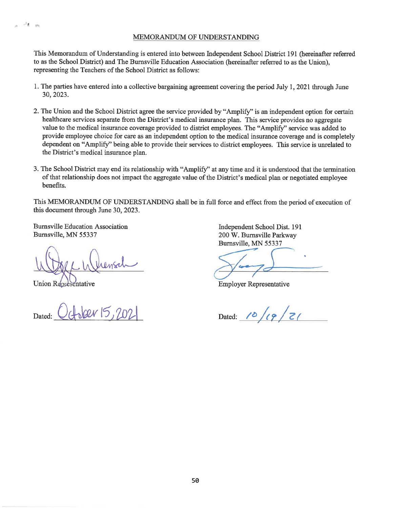This Memorandum of Understanding is entered into between Independent School District 191 (hereinafter referred to as the School District) and The Burnsville Education Association (hereinafter referred to as the Union), representing the Teachers of the School District as follows:

- 1. The parties have entered into a collective bargaining agreement covering the period July 1, 2021 through June 30, 2023.
- 2. The Union and the School District agree the service provided by "Amplify" is an independent option for certain healthcare services separate from the District's medical insurance plan. This service provides no aggregate value to the medical insurance coverage provided to district employees. The "Amplify" service was added to provide employee choice for care as an independent option to the medical insurance coverage and is completely dependent on "Amplify" being able to provide their services to district employees. This service is unrelated to the District's medical insurance plan.
- 3. The School District may end its relationship with "Amplify" at any time and it is understood that the termination of that relationship does not impact the aggregate value of the District's medical plan or negotiated employee benefits.

This MEMORANDUM OF UNDERSTANDING shall be in full force and effect from the period of execution of this document through June 30, 2023.

**Burnsville Education Association** Burnsville, MN 55337

**Union Representative** 

 $\mathcal{A}$  . In

Anber 15,202

**Employer Representative** 

Dated: 10/19/21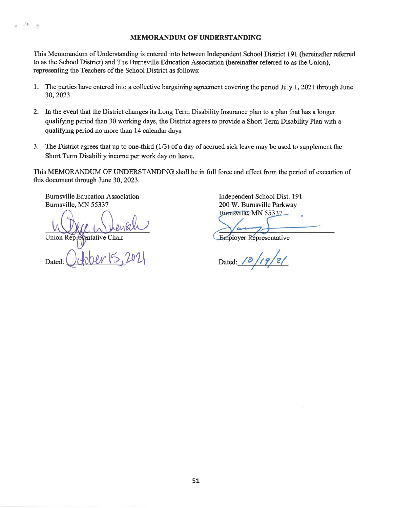This Memorandum of Understanding is entered into between Independent School District 191 (hereinafter referred to as the School District) and The Burnsville Education Association (hereinafter referred to as the Union). representing the Teachers of the School District as follows:

- $1.$ The parties have entered into a collective bargaining agreement covering the period July 1, 2021 through June 30, 2023.
- 2. In the event that the District changes its Long Term Disability Insurance plan to a plan that has a longer qualifying period than 30 working days, the District agrees to provide a Short Term Disability Plan with a qualifying period no more than 14 calendar days.
- 3. The District agrees that up to one-third  $(1/3)$  of a day of accrued sick leave may be used to supplement the Short Term Disability income per work day on leave.

This MEMORANDUM OF UNDERSTANDING shall be in full force and effect from the period of execution of this document through June 30, 2023.

**Burnsville Education Association** Burnsville, MN 55337

 $\mathcal{A}$ 15

**Union Rep** entative Chair

Dated

**Employer Representative** 

 $19/21$ Dated: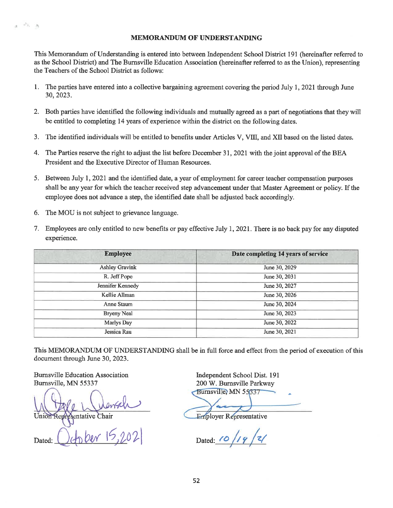This Memorandum of Understanding is entered into between Independent School District 191 (hereinafter referred to as the School District) and The Burnsville Education Association (hereinafter referred to as the Union), representing the Teachers of the School District as follows:

- The parties have entered into a collective bargaining agreement covering the period July 1, 2021 through June 1. 30, 2023.
- 2. Both parties have identified the following individuals and mutually agreed as a part of negotiations that they will be entitled to completing 14 years of experience within the district on the following dates.
- 3. The identified individuals will be entitled to benefits under Articles V, VIII, and XII based on the listed dates.
- 4. The Parties reserve the right to adjust the list before December 31, 2021 with the joint approval of the BEA President and the Executive Director of Human Resources.
- 5. Between July 1, 2021 and the identified date, a year of employment for career teacher compensation purposes shall be any year for which the teacher received step advancement under that Master Agreement or policy. If the employee does not advance a step, the identified date shall be adjusted back accordingly.
- The MOU is not subject to grievance language. 6.

 $\pi^0\pi^-$  . As

7. Employees are only entitled to new benefits or pay effective July 1, 2021. There is no back pay for any disputed experience.

| <b>Employee</b>       | Date completing 14 years of service |  |
|-----------------------|-------------------------------------|--|
| <b>Ashley Gravink</b> | June 30, 2029                       |  |
| R. Jeff Pope          | June 30, 2031                       |  |
| Jennifer Kennedy      | June 30, 2027                       |  |
| Kellie Allman         | June 30, 2026                       |  |
| Anne Staum            | June 30, 2024                       |  |
| <b>Bryeny Neal</b>    | June 30, 2023                       |  |
| Marlys Day            | June 30, 2022                       |  |
| Jessica Rau           | June 30, 2021                       |  |

This MEMORANDUM OF UNDERSTANDING shall be in full force and effect from the period of execution of this document through June 30, 2023.

**Burnsville Education Association** Burnsville, MN 55337

entative Chair

Dated:

**Employer Representative** 

Dated: 10/19/21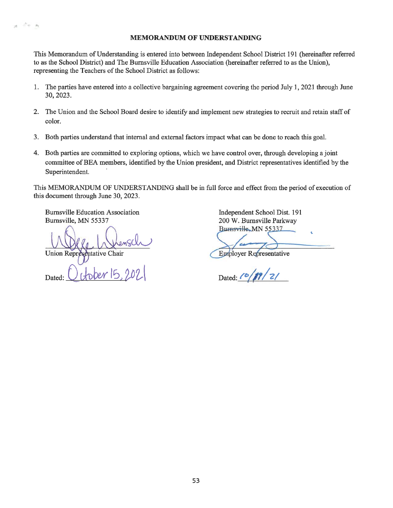This Memorandum of Understanding is entered into between Independent School District 191 (hereinafter referred to as the School District) and The Burnsville Education Association (hereinafter referred to as the Union), representing the Teachers of the School District as follows:

- The parties have entered into a collective bargaining agreement covering the period July 1, 2021 through June  $1.$ 30, 2023.
- 2. The Union and the School Board desire to identify and implement new strategies to recruit and retain staff of color.
- 3. Both parties understand that internal and external factors impact what can be done to reach this goal.
- 4. Both parties are committed to exploring options, which we have control over, through developing a joint committee of BEA members, identified by the Union president, and District representatives identified by the Superintendent.

This MEMORANDUM OF UNDERSTANDING shall be in full force and effect from the period of execution of this document through June 30, 2023.

**Burnsville Education Association** Burnsville, MN 55337

 $\label{eq:1} \frac{\partial^2 \phi}{\partial t^2} = \frac{\partial \phi}{\partial t^2}$ 

**Union Repr** ptative Chair

Dated:

**Eproloyer Representative** 

Dated:  $10/17/21$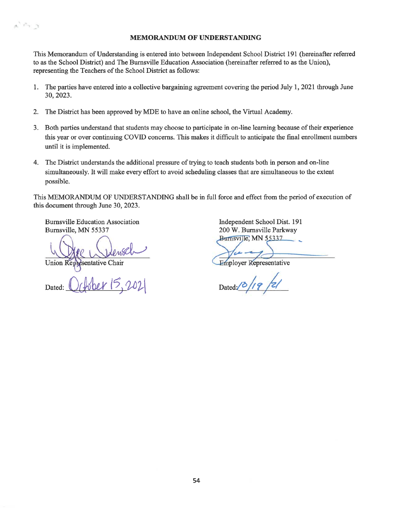This Memorandum of Understanding is entered into between Independent School District 191 (hereinafter referred to as the School District) and The Burnsville Education Association (hereinafter referred to as the Union), representing the Teachers of the School District as follows:

- The parties have entered into a collective bargaining agreement covering the period July 1, 2021 through June  $1.$ 30, 2023.
- The District has been approved by MDE to have an online school, the Virtual Academy.  $2.$
- 3. Both parties understand that students may choose to participate in on-line learning because of their experience this year or over continuing COVID concerns. This makes it difficult to anticipate the final enrollment numbers until it is implemented.
- The District understands the additional pressure of trying to teach students both in person and on-line 4. simultaneously. It will make every effort to avoid scheduling classes that are simultaneous to the extent possible.

This MEMORANDUM OF UNDERSTANDING shall be in full force and effect from the period of execution of this document through June 30, 2023.

**Burnsville Education Association** Burnsville, MN 55337

 $\mathbf{v}_{j,k}$  ,  $\mathbf{v}_{j}$ 

Union Representative Chair

Dated

**Employer Representative** 

Dated:  $\frac{1}{2}$  /19 /2/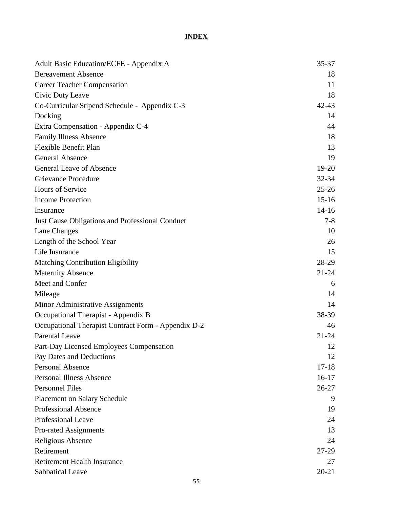## **INDEX**

| Adult Basic Education/ECFE - Appendix A             | $35 - 37$ |
|-----------------------------------------------------|-----------|
| <b>Bereavement Absence</b>                          | 18        |
| <b>Career Teacher Compensation</b>                  | 11        |
| Civic Duty Leave                                    | 18        |
| Co-Curricular Stipend Schedule - Appendix C-3       | $42 - 43$ |
| Docking                                             | 14        |
| Extra Compensation - Appendix C-4                   | 44        |
| <b>Family Illness Absence</b>                       | 18        |
| Flexible Benefit Plan                               | 13        |
| <b>General Absence</b>                              | 19        |
| <b>General Leave of Absence</b>                     | $19-20$   |
| <b>Grievance Procedure</b>                          | $32 - 34$ |
| Hours of Service                                    | $25 - 26$ |
| <b>Income Protection</b>                            | $15 - 16$ |
| Insurance                                           | $14 - 16$ |
| Just Cause Obligations and Professional Conduct     | $7 - 8$   |
| Lane Changes                                        | 10        |
| Length of the School Year                           | 26        |
| Life Insurance                                      | 15        |
| <b>Matching Contribution Eligibility</b>            | 28-29     |
| <b>Maternity Absence</b>                            | $21 - 24$ |
| Meet and Confer                                     | 6         |
| Mileage                                             | 14        |
| Minor Administrative Assignments                    | 14        |
| Occupational Therapist - Appendix B                 | 38-39     |
| Occupational Therapist Contract Form - Appendix D-2 | 46        |
| <b>Parental Leave</b>                               | $21 - 24$ |
| Part-Day Licensed Employees Compensation            | 12        |
| Pay Dates and Deductions                            | 12        |
| Personal Absence                                    | $17 - 18$ |
| <b>Personal Illness Absence</b>                     | $16-17$   |
| <b>Personnel Files</b>                              | $26 - 27$ |
| <b>Placement on Salary Schedule</b>                 | 9         |
| <b>Professional Absence</b>                         | 19        |
| Professional Leave                                  | 24        |
| Pro-rated Assignments                               | 13        |
| Religious Absence                                   | 24        |
| Retirement                                          | 27-29     |
| <b>Retirement Health Insurance</b>                  | 27        |
| Sabbatical Leave                                    | $20 - 21$ |